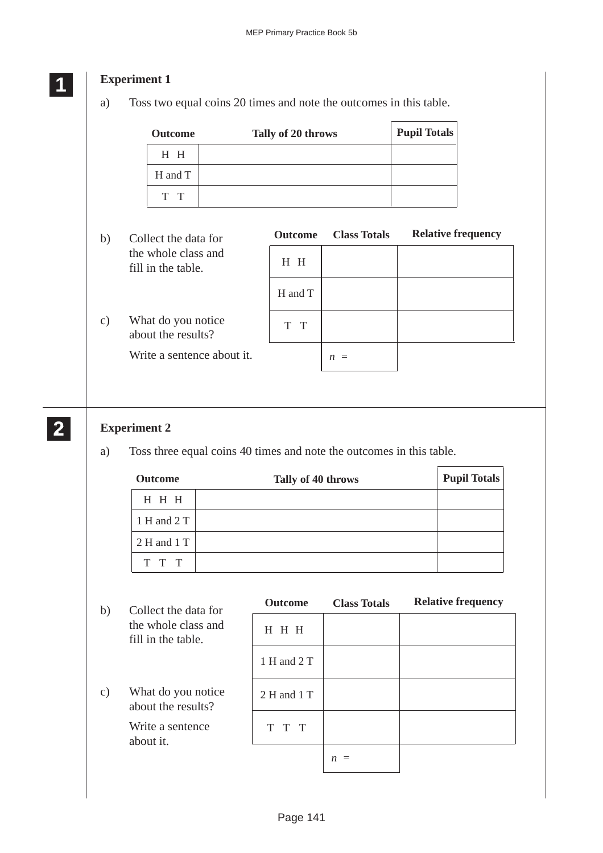### *<u>Experiment 1</u>*

a) Toss two equal coins 20 times and note the outcomes in this table.

| <b>Outcome</b> | Tally of 20 throws | <b>Pupil Totals</b> |
|----------------|--------------------|---------------------|
| H H            |                    |                     |
| H and T        |                    |                     |
| T T            |                    |                     |

b) Collect the data for the whole class and fill in the table.

c) What do you notice about the results?

Write a sentence about it.

|         | <b>Outcome</b> Class Totals | <b>Relative frequency</b> |
|---------|-----------------------------|---------------------------|
| H H     |                             |                           |
| H and T |                             |                           |
| T T     |                             |                           |
|         | $\mathfrak n$               |                           |

#### **2 22 22**

### **Experiment 2**

a) Toss three equal coins 40 times and note the outcomes in this table.

| <b>Outcome</b> | Tally of 40 throws | <b>Pupil Totals</b> |
|----------------|--------------------|---------------------|
| H H H          |                    |                     |
| 1 H and 2 T    |                    |                     |
| 2 H and 1 T    |                    |                     |
| T T T          |                    |                     |

| b)            | Collect the data for                      | <b>Outcome</b> | <b>Class Totals</b> | <b>Relative frequency</b> |
|---------------|-------------------------------------------|----------------|---------------------|---------------------------|
|               | the whole class and<br>fill in the table. | H H H          |                     |                           |
|               |                                           | 1 H and 2 T    |                     |                           |
| $\mathbf{c})$ | What do you notice<br>about the results?  | 2 H and 1 T    |                     |                           |
|               | Write a sentence<br>about it.             | T T T          |                     |                           |
|               |                                           |                | $n =$               |                           |

# **1 11**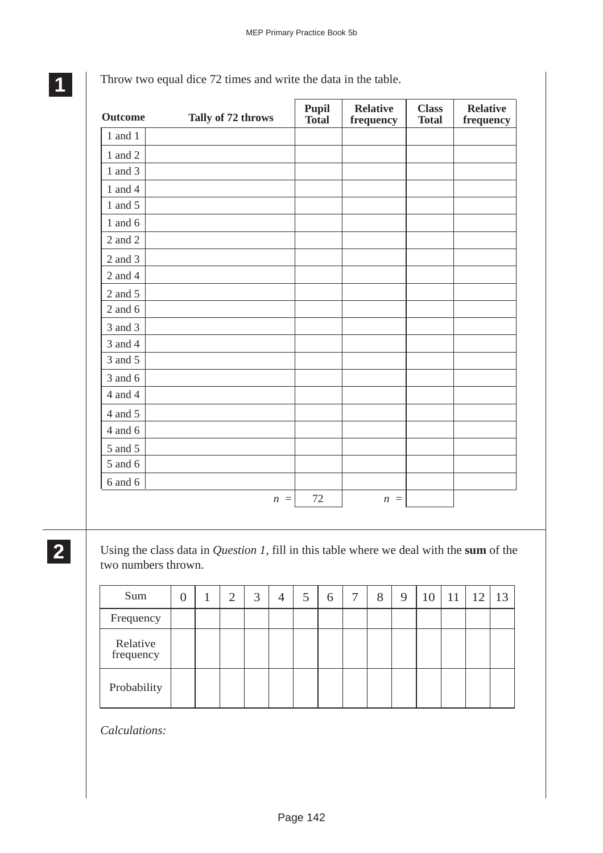| <b>Outcome</b> | Tally of 72 throws | <b>Pupil</b><br><b>Total</b> | <b>Relative</b><br>frequency | <b>Class</b><br><b>Total</b> | <b>Relative</b><br>frequency |
|----------------|--------------------|------------------------------|------------------------------|------------------------------|------------------------------|
| $1$ and $1$    |                    |                              |                              |                              |                              |
| 1 and $2$      |                    |                              |                              |                              |                              |
| 1 and 3        |                    |                              |                              |                              |                              |
| 1 and 4        |                    |                              |                              |                              |                              |
| 1 and $5$      |                    |                              |                              |                              |                              |
| 1 and $6$      |                    |                              |                              |                              |                              |
| 2 and 2        |                    |                              |                              |                              |                              |
| 2 and 3        |                    |                              |                              |                              |                              |
| 2 and 4        |                    |                              |                              |                              |                              |
| 2 and 5        |                    |                              |                              |                              |                              |
| 2 and $6$      |                    |                              |                              |                              |                              |
| 3 and 3        |                    |                              |                              |                              |                              |
| 3 and 4        |                    |                              |                              |                              |                              |
| 3 and 5        |                    |                              |                              |                              |                              |
| 3 and 6        |                    |                              |                              |                              |                              |
| $4$ and $4\,$  |                    |                              |                              |                              |                              |
| 4 and 5        |                    |                              |                              |                              |                              |
| $4$ and $6$    |                    |                              |                              |                              |                              |
| 5 and 5        |                    |                              |                              |                              |                              |
| 5 and 6        |                    |                              |                              |                              |                              |
| 6 and 6        |                    |                              |                              |                              |                              |
|                | $n =$              | 72                           | $n =$                        |                              |                              |

Throw two equal dice 72 times and write the data in the table.

**2 22 22**

Using the class data in *Question 1*, fill in this table where we deal with the **sum** of the two numbers thrown.

| Sum                   | $\Omega$ | 2 | 3 | $\overline{4}$ | 5 | 6 | 7 | 8 | 9 | 10 | <sup>11</sup> | 12 | 13 |
|-----------------------|----------|---|---|----------------|---|---|---|---|---|----|---------------|----|----|
| Frequency             |          |   |   |                |   |   |   |   |   |    |               |    |    |
| Relative<br>frequency |          |   |   |                |   |   |   |   |   |    |               |    |    |
| Probability           |          |   |   |                |   |   |   |   |   |    |               |    |    |

*Calculations:*

**1 11 11**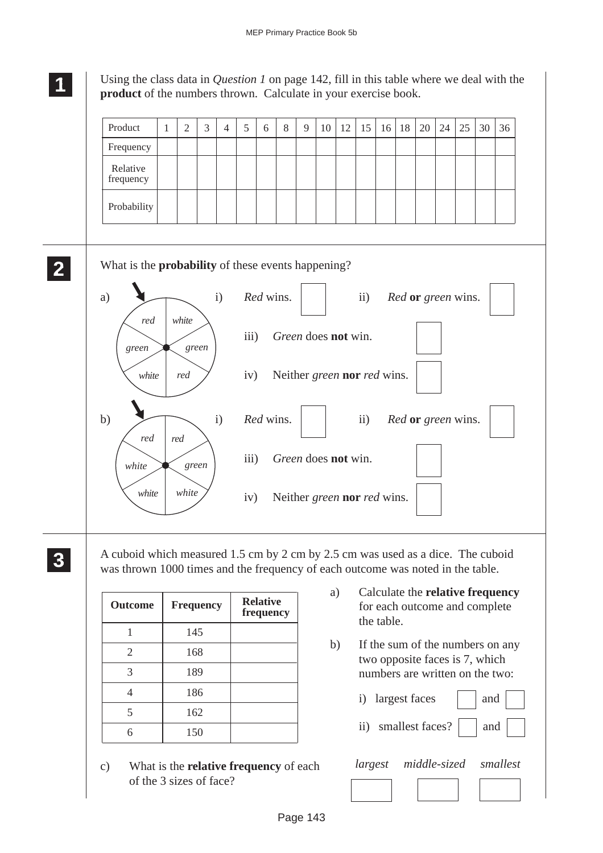# **1 11**

**2 22 22**

Using the class data in *Question 1* on page 142, fill in this table where we deal with the **product** of the numbers thrown. Calculate in your exercise book.

| Product                                                                         | $\mathbf{1}$ | $\overline{2}$ | 3     | $\overline{4}$ | 5    | 6         | 8 | 9 | 10                          | 12 | 15            | 16 | 18 | 20                 | 24 | 25 | 30 | 36 |
|---------------------------------------------------------------------------------|--------------|----------------|-------|----------------|------|-----------|---|---|-----------------------------|----|---------------|----|----|--------------------|----|----|----|----|
| Frequency                                                                       |              |                |       |                |      |           |   |   |                             |    |               |    |    |                    |    |    |    |    |
| Relative<br>frequency                                                           |              |                |       |                |      |           |   |   |                             |    |               |    |    |                    |    |    |    |    |
| Probability                                                                     |              |                |       |                |      |           |   |   |                             |    |               |    |    |                    |    |    |    |    |
| What is the <b>probability</b> of these events happening?<br>a)<br>red<br>green |              | white          | green | i)             | iii) | Red wins. |   |   | Green does not win.         |    | $\mathbf{ii}$ |    |    | Red or green wins. |    |    |    |    |
| white                                                                           |              | red            |       |                | iv)  |           |   |   | Neither green nor red wins. |    |               |    |    |                    |    |    |    |    |
|                                                                                 |              |                |       | $\mathbf{i}$   |      | Red wins. |   |   |                             |    | $\mathbf{ii}$ |    |    | Red or green wins. |    |    |    |    |
| red                                                                             |              | red            |       |                |      |           |   |   |                             |    |               |    |    |                    |    |    |    |    |
| b)<br>white                                                                     |              |                | green |                | iii) |           |   |   | Green does not win.         |    |               |    |    |                    |    |    |    |    |

A cuboid which measured 1.5 cm by 2 cm by 2.5 cm was used as a dice. The cuboid was thrown 1000 times and the frequency of each outcome was noted in the table.

| Outcome        | <b>Frequency</b> | <b>Relative</b><br>frequency |
|----------------|------------------|------------------------------|
|                | 145              |                              |
| $\overline{2}$ | 168              |                              |
| 3              | 189              |                              |
|                | 186              |                              |
|                | 162              |                              |
|                | 150              |                              |

c) What is the **relative frequency** of each of the 3 sizes of face?

- a) Calculate the **relative frequency** for each outcome and complete the table.
- b) If the sum of the numbers on any two opposite faces is 7, which numbers are written on the two:

| i) largest faces | and |  |
|------------------|-----|--|
|                  |     |  |

ii) smallest faces?  $\Box$  and  $\Box$ 

| largest | middle-sized | smallest |
|---------|--------------|----------|
|         |              |          |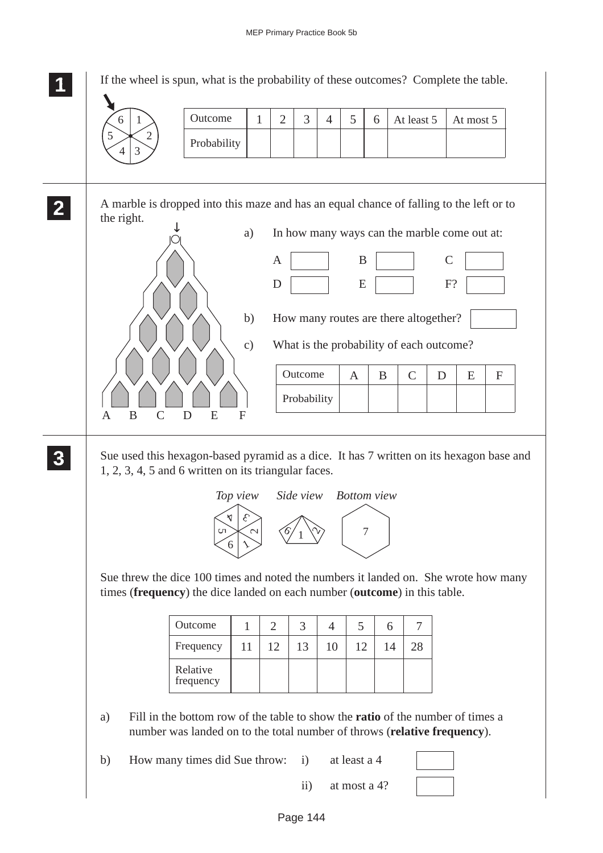**1 11 <sup>11</sup>** If the wheel is spun, what is the probability of these outcomes? Complete the table. A marble is dropped into this maze and has an equal chance of falling to the left or to the right. a) In how many ways can the marble come out at:  $A$  | B | C  $D$   $E$   $F$ ? b) How many routes are there altogether? c) What is the probability of each outcome? Sue used this hexagon-based pyramid as a dice. It has 7 written on its hexagon base and 1, 2, 3, 4, 5 and 6 written on its triangular faces. Sue threw the dice 100 times and noted the numbers it landed on. She wrote how many times (**frequency**) the dice landed on each number (**outcome**) in this table. a) Fill in the bottom row of the table to show the **ratio** of the number of times a number was landed on to the total number of throws (**relative frequency**). b) How many times did Sue throw: i) at least a 4 Outcome  $12234456$ Probability  $6 \mid 1 \rangle$  | Outcome | 1 | 2 | 3 | 4 | 5 | 6 | At least 5 | At most 5 2 4 3 5 **2 22 22** ↓ ABCD E F Outcome  $A \mid B \mid C \mid D \mid E \mid F$ Probability **3 33 33 33** 4  $\mathcal{E}_{\mathcal{C}}$  $\sim$  $6 \mid \lambda$ Un 7 *Top view Side view*  $\sim$  $\frac{6}{1}$ *Bottom view* 11 Outcome  $1 \ 2 \ 3 \ 4 \ 5 \ 6$ Frequency 7 Relative frequency 12 | 13 | 10 | 12 | 14 | 28 1

ii) at most a 4?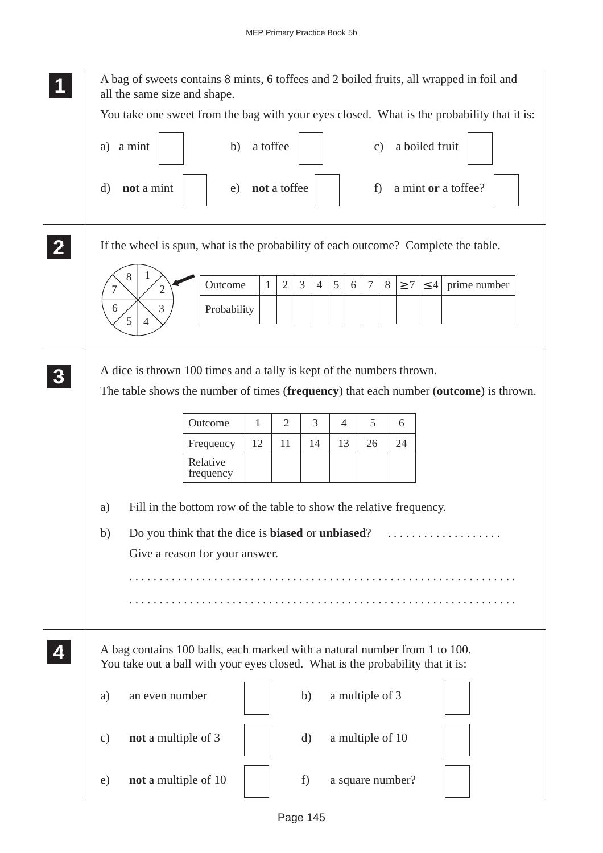A bag of sweets contains 8 mints, 6 toffees and 2 boiled fruits, all wrapped in foil and all the same size and shape. You take one sweet from the bag with your eyes closed. What is the probability that it is: a) a mint  $\begin{vmatrix} 1 & 1 \end{vmatrix}$  b) a toffee  $\begin{vmatrix} 1 & 1 \end{vmatrix}$  c) a boiled fruit d) **not** a mint e) **not** a toffee f i a mint **or** a toffee? If the wheel is spun, what is the probability of each outcome? Complete the table. A dice is thrown 100 times and a tally is kept of the numbers thrown. The table shows the number of times (**frequency**) that each number (**outcome**) is thrown. a) Fill in the bottom row of the table to show the relative frequency. b) Do you think that the dice is **biased** or **unbiased**? . . . . . . . . . . . . . . . . . . . Give a reason for your answer. . . . . . . . . . . . . . . . . . . . . . . . . . . . . . . . . . . . . . . . . . . . . . . . . . . . . . . . . . . . . . . . . . . . . . . . . . . . . . . . . . . . . . . . . . . . . . . . . . . . . . . . . . . . . . . . . . . . . . . . . . . . . . . . . A bag contains 100 balls, each marked with a natural number from 1 to 100. You take out a ball with your eyes closed. What is the probability that it is: a) an even number b) a multiple of 3 c) **not** a multiple of 3 d) a multiple of 10 e) **not** a multiple of  $10 \mid f$  f) a square number? **1 11 11 2 22 22** 1 2 3 5 6 7 8 Outcome Probability 1 | 2 | 3 | 4 | 5 | 6 | 7 | 8 |  $\geq 7$  |  $\leq 4$  | prime number **3 33 33 33** Frequency Relative frequency Outcome 1 2 3 4 5 6 12 | 11 | 14 | 13 | 26 | 24 **4 44 44**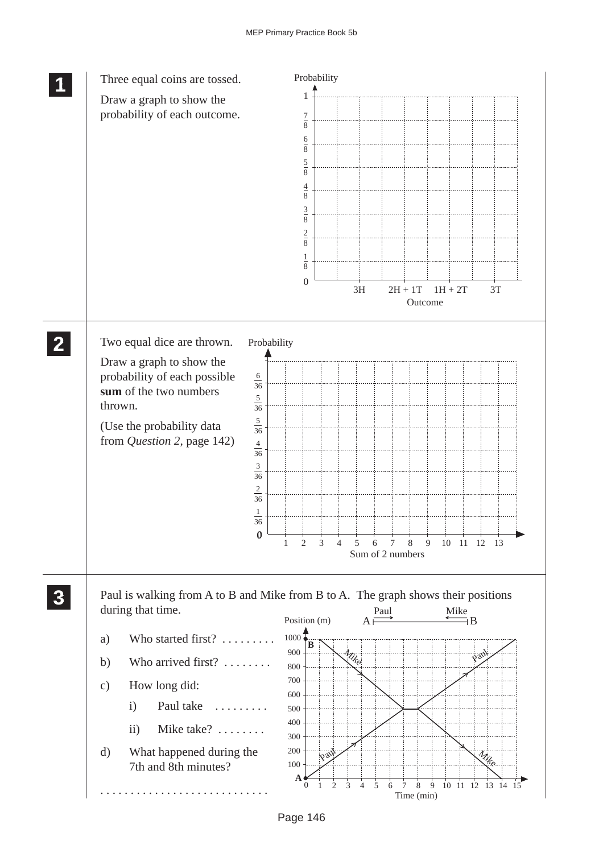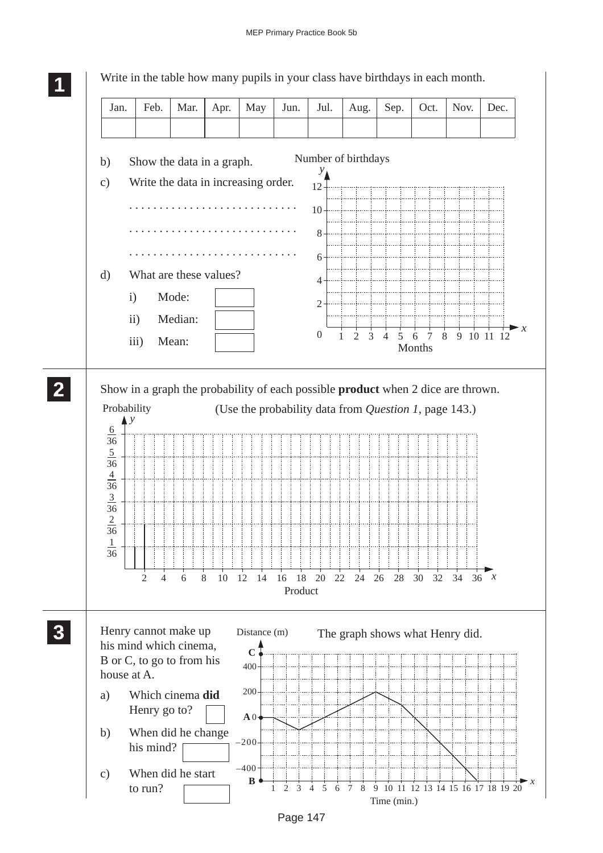

Page 147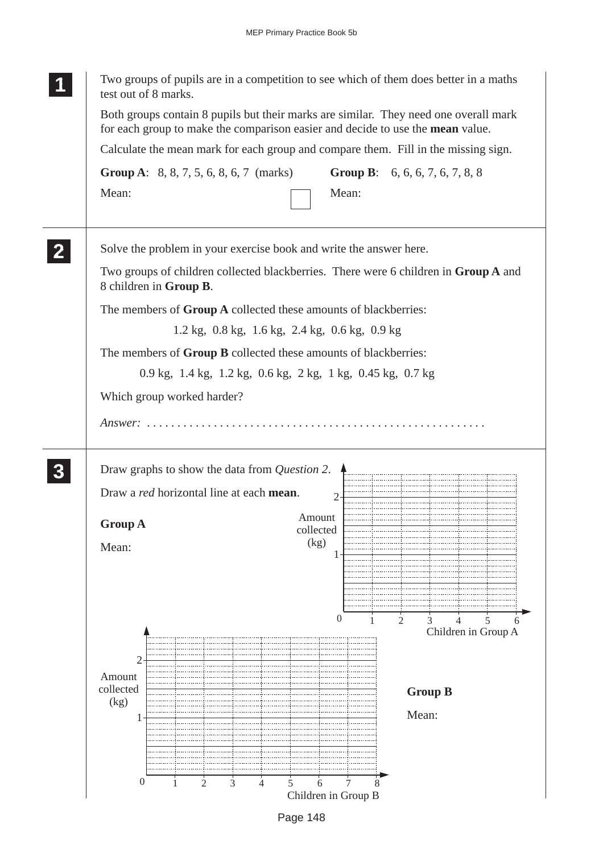|  | Two groups of pupils are in a competition to see which of them does better in a maths<br>test out of 8 marks.                                                                  |  |  |                                                                      |                |  |                |                     |   |  |  |
|--|--------------------------------------------------------------------------------------------------------------------------------------------------------------------------------|--|--|----------------------------------------------------------------------|----------------|--|----------------|---------------------|---|--|--|
|  | Both groups contain 8 pupils but their marks are similar. They need one overall mark<br>for each group to make the comparison easier and decide to use the mean value.         |  |  |                                                                      |                |  |                |                     |   |  |  |
|  | Calculate the mean mark for each group and compare them. Fill in the missing sign.<br><b>Group A:</b> 8, 8, 7, 5, 6, 8, 6, 7 (marks)<br><b>Group B:</b> 6, 6, 6, 7, 6, 7, 8, 8 |  |  |                                                                      |                |  |                |                     |   |  |  |
|  |                                                                                                                                                                                |  |  |                                                                      |                |  |                |                     |   |  |  |
|  | Mean:                                                                                                                                                                          |  |  |                                                                      | Mean:          |  |                |                     |   |  |  |
|  | Solve the problem in your exercise book and write the answer here.                                                                                                             |  |  |                                                                      |                |  |                |                     |   |  |  |
|  | Two groups of children collected blackberries. There were 6 children in Group A and<br>8 children in Group B.                                                                  |  |  |                                                                      |                |  |                |                     |   |  |  |
|  | The members of <b>Group A</b> collected these amounts of blackberries:                                                                                                         |  |  |                                                                      |                |  |                |                     |   |  |  |
|  |                                                                                                                                                                                |  |  | $1.2 \text{ kg}$ , 0.8 kg, $1.6 \text{ kg}$ , 2.4 kg, 0.6 kg, 0.9 kg |                |  |                |                     |   |  |  |
|  | The members of <b>Group B</b> collected these amounts of blackberries:                                                                                                         |  |  |                                                                      |                |  |                |                     |   |  |  |
|  | 0.9 kg, 1.4 kg, 1.2 kg, 0.6 kg, 2 kg, 1 kg, 0.45 kg, 0.7 kg                                                                                                                    |  |  |                                                                      |                |  |                |                     |   |  |  |
|  | Which group worked harder?                                                                                                                                                     |  |  |                                                                      |                |  |                |                     |   |  |  |
|  |                                                                                                                                                                                |  |  |                                                                      |                |  |                |                     |   |  |  |
|  |                                                                                                                                                                                |  |  |                                                                      |                |  |                |                     |   |  |  |
|  |                                                                                                                                                                                |  |  |                                                                      |                |  |                |                     |   |  |  |
|  | Draw graphs to show the data from <i>Question 2</i> .                                                                                                                          |  |  |                                                                      |                |  |                |                     |   |  |  |
|  |                                                                                                                                                                                |  |  |                                                                      |                |  |                |                     |   |  |  |
|  |                                                                                                                                                                                |  |  |                                                                      |                |  |                |                     |   |  |  |
|  | Draw a red horizontal line at each mean.                                                                                                                                       |  |  |                                                                      | $\overline{2}$ |  |                |                     |   |  |  |
|  | <b>Group A</b>                                                                                                                                                                 |  |  | Amount<br>collected                                                  |                |  |                |                     |   |  |  |
|  | Mean:                                                                                                                                                                          |  |  | (kg)                                                                 |                |  |                |                     |   |  |  |
|  |                                                                                                                                                                                |  |  |                                                                      |                |  |                |                     |   |  |  |
|  |                                                                                                                                                                                |  |  |                                                                      |                |  |                |                     | 5 |  |  |
|  |                                                                                                                                                                                |  |  |                                                                      |                |  |                |                     |   |  |  |
|  |                                                                                                                                                                                |  |  |                                                                      | $\theta$       |  | 2              |                     |   |  |  |
|  |                                                                                                                                                                                |  |  |                                                                      |                |  |                | Children in Group A |   |  |  |
|  | $\overline{2}$                                                                                                                                                                 |  |  |                                                                      |                |  |                |                     |   |  |  |
|  | Amount                                                                                                                                                                         |  |  |                                                                      |                |  |                |                     |   |  |  |
|  | collected<br>(kg)                                                                                                                                                              |  |  |                                                                      |                |  | <b>Group B</b> |                     |   |  |  |
|  |                                                                                                                                                                                |  |  |                                                                      |                |  | Mean:          |                     |   |  |  |
|  |                                                                                                                                                                                |  |  |                                                                      |                |  |                |                     |   |  |  |
|  |                                                                                                                                                                                |  |  |                                                                      |                |  |                |                     |   |  |  |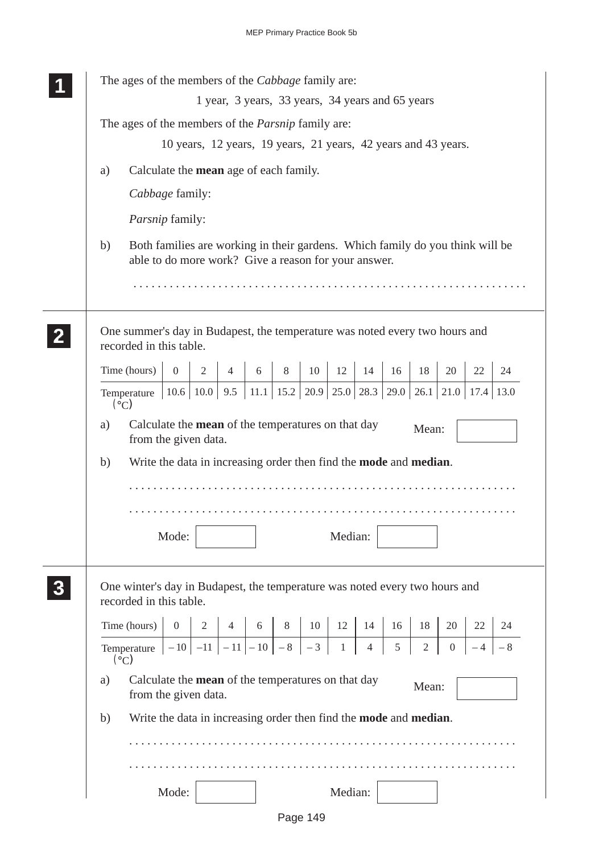|                  | The ages of the members of the Cabbage family are:                                                                                                              |
|------------------|-----------------------------------------------------------------------------------------------------------------------------------------------------------------|
|                  | 1 year, 3 years, 33 years, 34 years and 65 years                                                                                                                |
|                  | The ages of the members of the <i>Parsnip</i> family are:                                                                                                       |
|                  | 10 years, 12 years, 19 years, 21 years, 42 years and 43 years.                                                                                                  |
|                  | Calculate the <b>mean</b> age of each family.<br>a)                                                                                                             |
|                  | Cabbage family:                                                                                                                                                 |
|                  | Parsnip family:                                                                                                                                                 |
|                  | Both families are working in their gardens. Which family do you think will be<br>b)<br>able to do more work? Give a reason for your answer.                     |
|                  | One summer's day in Budapest, the temperature was noted every two hours and<br>recorded in this table.                                                          |
|                  | Time (hours)<br>$\overline{2}$<br>12<br>20<br>22<br>$\overline{0}$<br>8<br>10<br>14<br>16<br>18<br>24<br>$\overline{4}$<br>6                                    |
|                  | $\vert 10.6 \vert 10.0 \vert 9.5 \vert 11.1 \vert 15.2 \vert 20.9 \vert 25.0 \vert 28.3 \vert 29.0 \vert$<br>$26.1$   21.0   17.4   13.0<br>Temperature<br>(°C) |
|                  | Calculate the mean of the temperatures on that day<br>a)<br>Mean:<br>from the given data.                                                                       |
|                  | Write the data in increasing order then find the <b>mode</b> and <b>median</b> .<br>b)                                                                          |
|                  |                                                                                                                                                                 |
|                  |                                                                                                                                                                 |
|                  | Median:<br>Mode:                                                                                                                                                |
|                  |                                                                                                                                                                 |
| $\boldsymbol{3}$ | One winter's day in Budapest, the temperature was noted every two hours and<br>recorded in this table.                                                          |
|                  | Time (hours)<br>0<br>$\overline{2}$<br>$8-1$<br>10<br>12<br>4<br>14<br>18<br>20<br>22<br>24<br>$6 \mid$<br>16                                                   |
|                  | $-3$<br>$\overline{4}$<br>5<br>$\sqrt{2}$<br>$-10$<br>$-11$<br>$-11$   $-10$   $-8$  <br>$\mathbf{1}$<br>$\overline{0}$<br>$-8$<br>Temperature<br>- 4<br>(°C)   |
|                  | Calculate the <b>mean</b> of the temperatures on that day<br>a)<br>Mean:<br>from the given data.                                                                |
|                  | Write the data in increasing order then find the <b>mode</b> and <b>median</b> .<br>b)                                                                          |
|                  |                                                                                                                                                                 |
|                  | Mode:<br>Median:                                                                                                                                                |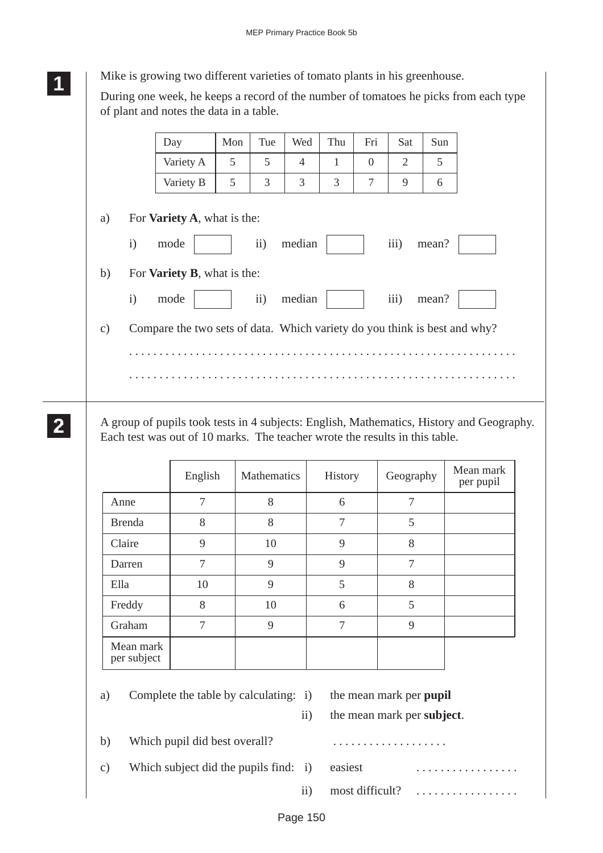**<sup>11</sup>** Mike is growing two different varieties of tomato plants in his greenhouse.

**1 11**

**2 22 22** During one week, he keeps a record of the number of tomatoes he picks from each type of plant and notes the data in a table.

|               | Day                                                                       | Mon | Tue           | Wed            | Thu | Fri            | Sat  | Sun   |  |
|---------------|---------------------------------------------------------------------------|-----|---------------|----------------|-----|----------------|------|-------|--|
|               | Variety A                                                                 | 5   | 5             | $\overline{4}$ | 1   | $\Omega$       | 2    | 5     |  |
|               | Variety B                                                                 | 5   | 3             | 3              | 3   | $\overline{7}$ | 9    | 6     |  |
| a)            | For <b>Variety A</b> , what is the:                                       |     |               |                |     |                |      |       |  |
|               | $\mathbf{i}$<br>mode                                                      |     | ii)           | median         |     |                | iii) | mean? |  |
| b)            | For <b>Variety B</b> , what is the:                                       |     |               |                |     |                |      |       |  |
|               | $\mathbf{i}$<br>mode                                                      |     | $\mathbf{ii}$ | median         |     |                | iii) | mean? |  |
| $\mathbf{c})$ | Compare the two sets of data. Which variety do you think is best and why? |     |               |                |     |                |      |       |  |
|               |                                                                           |     |               |                |     |                |      |       |  |
|               |                                                                           |     |               |                |     |                |      |       |  |

A group of pupils took tests in 4 subjects: English, Mathematics, History and Geography. Each test was out of 10 marks. The teacher wrote the results in this table.

|                          | English | Mathematics | History | Geography | Mean mark<br>per pupil |
|--------------------------|---------|-------------|---------|-----------|------------------------|
| Anne                     | 7       | 8           | 6       | 7         |                        |
| <b>Brenda</b>            | 8       | 8           | 7       | 5         |                        |
| Claire                   | 9       | 10          | 9       | 8         |                        |
| Darren                   | 7       | 9           | 9       | 7         |                        |
| Ella                     | 10      | 9           | 5       | 8         |                        |
| Freddy                   | 8       | 10          | 6       | 5         |                        |
| Graham                   | 7       | 9           | 7       | 9         |                        |
| Mean mark<br>per subject |         |             |         |           |                        |

a) Complete the table by calculating: i) the mean mark per **pupil**

ii) the mean mark per **subject**.

- b) Which pupil did best overall? . . . . . . . . . . . . . . . . . . .
- c) Which subject did the pupils find:  $i$ )

| i) easiest | .                            |  |
|------------|------------------------------|--|
|            | ii) most difficult? $\ldots$ |  |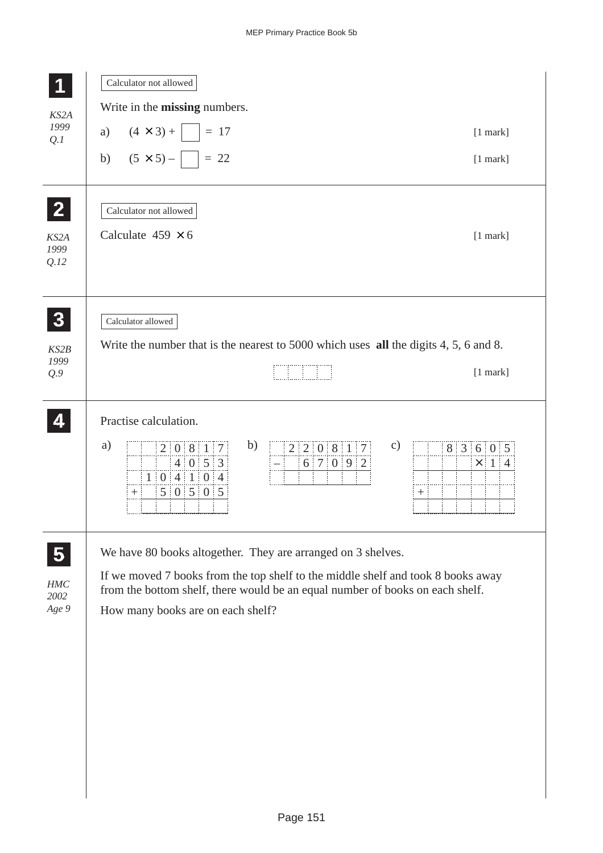|               | Calculator not allowed                                                                                                                                                      |
|---------------|-----------------------------------------------------------------------------------------------------------------------------------------------------------------------------|
| KS2A          | Write in the <b>missing</b> numbers.                                                                                                                                        |
| 1999<br>Q.I   | a) $(4 \times 3) +$ $\Big $ = 17<br>$[1$ mark]                                                                                                                              |
|               | b) $(5 \times 5)  \Big $ = 22<br>$[1$ mark]                                                                                                                                 |
| $\mathbf{2}$  | Calculator not allowed                                                                                                                                                      |
| KS2A<br>1999  | Calculate $459 \times 6$<br>$[1$ mark]                                                                                                                                      |
| Q.12          |                                                                                                                                                                             |
| 3             | Calculator allowed                                                                                                                                                          |
| KS2B          | Write the number that is the nearest to 5000 which uses all the digits 4, 5, 6 and 8.                                                                                       |
| 1999<br>Q.9   | $[1$ mark]                                                                                                                                                                  |
|               | Practise calculation.                                                                                                                                                       |
|               | b)<br>a)<br>$\mathbf{c})$<br>2 2 0 8 1 7<br>8 3 6 0 5<br>2 0 8 1 7<br>4 0 5 3<br>6 7 0 9 2<br>$\times$ 1 4<br>1   0   4   1   0 4<br>5 0 5 05<br>$\boldsymbol{+}$<br>$^{+}$ |
| 5             | We have 80 books altogether. They are arranged on 3 shelves.                                                                                                                |
| HMC           | If we moved 7 books from the top shelf to the middle shelf and took 8 books away                                                                                            |
| 2002<br>Age 9 | from the bottom shelf, there would be an equal number of books on each shelf.<br>How many books are on each shelf?                                                          |
|               |                                                                                                                                                                             |
|               |                                                                                                                                                                             |
|               |                                                                                                                                                                             |
|               |                                                                                                                                                                             |
|               |                                                                                                                                                                             |
|               |                                                                                                                                                                             |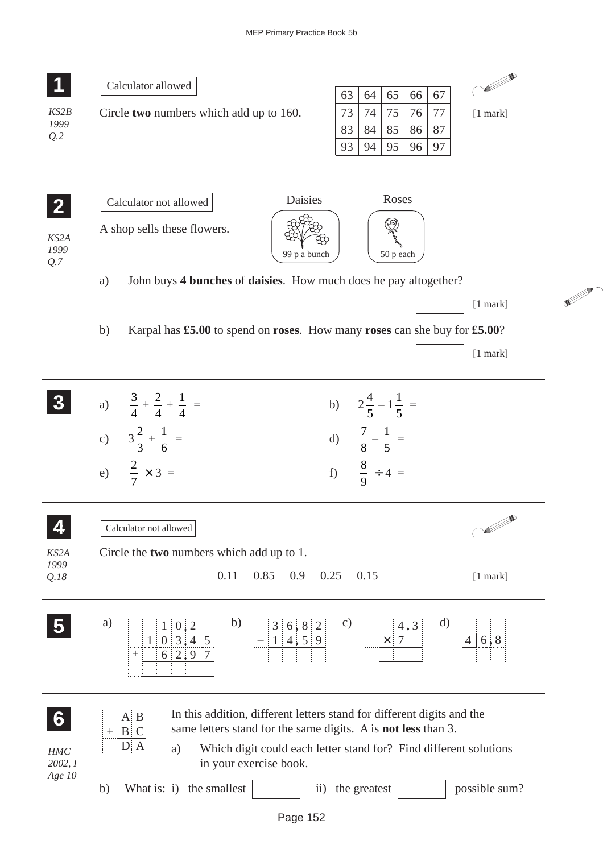| KS2B<br>1999<br>Q.2                    | <b>CONTROLLER</b><br>Calculator allowed<br>65<br>66<br>63<br>64<br>67<br>73<br>74<br>75<br>76<br>77<br>Circle two numbers which add up to 160.<br>$[1$ mark]<br>83<br>84<br>85<br>86<br>87<br>93<br>95<br>97<br>94<br>96                                                                                                                                                  |  |
|----------------------------------------|---------------------------------------------------------------------------------------------------------------------------------------------------------------------------------------------------------------------------------------------------------------------------------------------------------------------------------------------------------------------------|--|
| KS2A<br>1999<br>Q.7                    | Daisies<br>Roses<br>Calculator not allowed<br>A shop sells these flowers.<br>50 p each<br>99 p a bunch<br>John buys 4 bunches of daisies. How much does he pay altogether?<br>a)                                                                                                                                                                                          |  |
|                                        | $[1$ mark]<br>Karpal has £5.00 to spend on roses. How many roses can she buy for £5.00?<br>b)<br>$[1$ mark]                                                                                                                                                                                                                                                               |  |
|                                        | b) $2\frac{4}{5} - 1\frac{1}{5} =$<br>a) $\frac{3}{4} + \frac{2}{4} + \frac{1}{4} =$<br>c) $3\frac{2}{3} + \frac{1}{6} =$<br>d) $\frac{7}{8} - \frac{1}{5} =$<br>e) $\frac{2}{7} \times 3 =$<br>f) $\frac{8}{9} \div 4 =$                                                                                                                                                 |  |
| 4<br>KS2A<br>1999<br>Q.18              | <b>Soldier School Section</b><br>Calculator not allowed<br>Circle the two numbers which add up to 1.<br>0.11<br>0.85<br>0.9<br>0.25<br>0.15<br>$[1$ mark]                                                                                                                                                                                                                 |  |
|                                        | b)<br>d)<br>a)<br>$\mathbf{c})$<br>3 6 8 2<br>$1 \ 0 \ 2$<br>4.3<br>1   0   3, 4   5<br>1 4,5 9<br>6, 8<br>$\times$ 7<br>$\overline{4}$<br>$6 \ 2 \ 9$<br>$^+$                                                                                                                                                                                                            |  |
| $6 \nvert$<br>HMC<br>2002, I<br>Age 10 | In this addition, different letters stand for different digits and the<br>$A$ $B$<br>same letters stand for the same digits. A is not less than 3.<br>$+$<br>$\mathbf{B}$<br>D A<br>Which digit could each letter stand for? Find different solutions<br>a)<br>in your exercise book.<br>What is: i) the smallest<br>the greatest<br>possible sum?<br>b)<br>$\mathbf{ii}$ |  |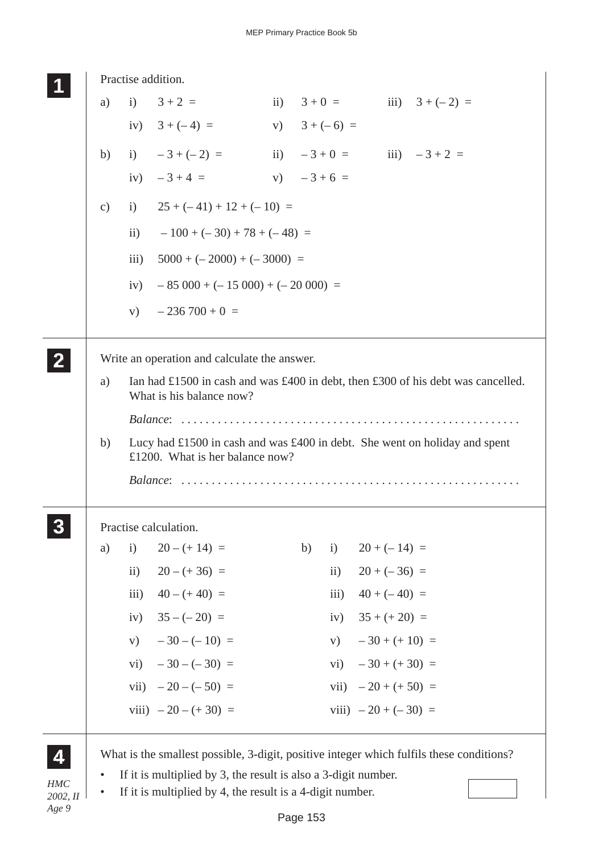|                        | Practise addition. |                    |                                                                                                               |  |                 |              |                                |                   |  |
|------------------------|--------------------|--------------------|---------------------------------------------------------------------------------------------------------------|--|-----------------|--------------|--------------------------------|-------------------|--|
|                        | a)                 |                    | i) $3+2 =$                                                                                                    |  | ii) $3+0=$      |              |                                | iii) $3 + (-2) =$ |  |
|                        |                    |                    | iv) $3 + (-4) =$                                                                                              |  | v) $3 + (-6) =$ |              |                                |                   |  |
|                        | b)                 |                    | i) $-3+(-2) =$                                                                                                |  |                 |              | ii) $-3 + 0 =$ iii) $-3 + 2 =$ |                   |  |
|                        |                    |                    | iv) $-3+4 =$                                                                                                  |  | $V)$ $-3+6=$    |              |                                |                   |  |
|                        | $\mathbf{c})$      |                    | i) $25 + (-41) + 12 + (-10) =$                                                                                |  |                 |              |                                |                   |  |
|                        |                    | $\mathbf{ii}$ )    | $-100 + (-30) + 78 + (-48) =$                                                                                 |  |                 |              |                                |                   |  |
|                        |                    | $\overline{111}$ ) | $5000 + (-2000) + (-3000) =$                                                                                  |  |                 |              |                                |                   |  |
|                        |                    | iv)                | $-85000 + (-15000) + (-20000) =$                                                                              |  |                 |              |                                |                   |  |
|                        |                    | V)                 | $-236700+0=$                                                                                                  |  |                 |              |                                |                   |  |
|                        |                    |                    |                                                                                                               |  |                 |              |                                |                   |  |
|                        |                    |                    | Write an operation and calculate the answer.                                                                  |  |                 |              |                                |                   |  |
|                        | a)                 |                    | Ian had £1500 in cash and was £400 in debt, then £300 of his debt was cancelled.                              |  |                 |              |                                |                   |  |
|                        |                    |                    | What is his balance now?                                                                                      |  |                 |              |                                |                   |  |
|                        |                    |                    |                                                                                                               |  |                 |              |                                |                   |  |
|                        | b)                 |                    | Lucy had £1500 in cash and was £400 in debt. She went on holiday and spent<br>£1200. What is her balance now? |  |                 |              |                                |                   |  |
|                        |                    |                    |                                                                                                               |  |                 |              |                                |                   |  |
|                        |                    |                    | Practise calculation.                                                                                         |  |                 |              |                                |                   |  |
|                        | a)                 | $\mathbf{i}$       | $20 - (+ 14) =$                                                                                               |  | b)              | i)           | $20 + (-14) =$                 |                   |  |
|                        |                    | $\mathbf{ii}$ )    | $20 - (+36) =$                                                                                                |  |                 | $\ddot{i}$ ) | $20 + (-36) =$                 |                   |  |
|                        |                    |                    | iii) $40 - (+40) =$                                                                                           |  |                 | iii)         | $40 + (-40) =$                 |                   |  |
|                        |                    |                    | iv) $35 - (-20) =$                                                                                            |  |                 |              | iv) $35 + (+20) =$             |                   |  |
|                        |                    |                    | v) $-30 - (-10) =$                                                                                            |  |                 |              | v) $-30 + (+10) =$             |                   |  |
|                        |                    |                    | vi) $-30 - (-30) =$                                                                                           |  |                 |              | vi) $-30 + (+30) =$            |                   |  |
|                        |                    |                    | vii) $-20 - (-50) =$                                                                                          |  |                 |              | vii) $-20 + (+50) =$           |                   |  |
|                        |                    |                    | viii) $-20 - (+30) =$                                                                                         |  |                 |              | viii) $-20 + (-30) =$          |                   |  |
|                        |                    |                    | What is the smallest possible, 3-digit, positive integer which fulfils these conditions?                      |  |                 |              |                                |                   |  |
|                        | $\bullet$          |                    | If it is multiplied by 3, the result is also a 3-digit number.                                                |  |                 |              |                                |                   |  |
| <b>HMC</b><br>2002, II | $\bullet$          |                    | If it is multiplied by 4, the result is a 4-digit number.                                                     |  |                 |              |                                |                   |  |
| Age 9                  |                    |                    |                                                                                                               |  | Page 153        |              |                                |                   |  |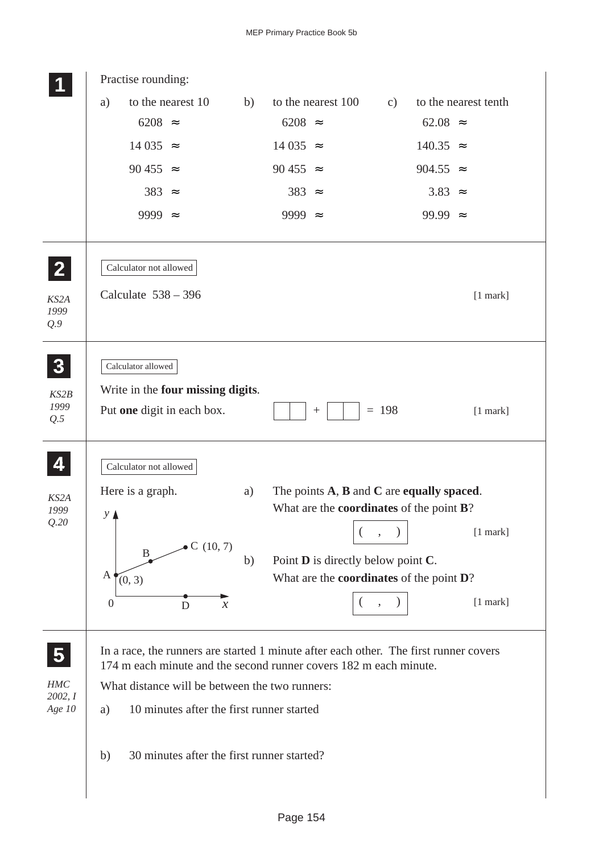|                     | Practise rounding:                                                                                                                                         |    |                                                         |               |                   |                      |
|---------------------|------------------------------------------------------------------------------------------------------------------------------------------------------------|----|---------------------------------------------------------|---------------|-------------------|----------------------|
|                     | to the nearest 10<br>a)                                                                                                                                    | b) | to the nearest 100                                      | $\mathbf{c})$ |                   | to the nearest tenth |
|                     | $6208 \approx$                                                                                                                                             |    | $6208 \approx$                                          |               | $62.08$ $\approx$ |                      |
|                     | $14035 =$                                                                                                                                                  |    | $14035 \approx$                                         |               | $140.35 \approx$  |                      |
|                     | 90 455 $\approx$                                                                                                                                           |    | 90 455 $\approx$                                        |               | 904.55 $\approx$  |                      |
|                     | $383 \approx$                                                                                                                                              |    | $383 \approx$                                           |               | $3.83 \approx$    |                      |
|                     | 9999 $\approx$                                                                                                                                             |    | 9999 $\approx$                                          |               | 99.99 $\approx$   |                      |
| $\mathbf{2}$        | Calculator not allowed                                                                                                                                     |    |                                                         |               |                   |                      |
| KS2A<br>1999<br>Q.9 | Calculate $538 - 396$                                                                                                                                      |    |                                                         |               |                   | $[1$ mark]           |
| $\boldsymbol{3}$    | Calculator allowed                                                                                                                                         |    |                                                         |               |                   |                      |
| KS2B<br>1999<br>Q.5 | Write in the four missing digits.<br>Put one digit in each box.                                                                                            |    | $\boldsymbol{+}$                                        | $= 198$       |                   | $[1$ mark]           |
| 4                   | Calculator not allowed                                                                                                                                     |    |                                                         |               |                   |                      |
| KS2A                | Here is a graph.                                                                                                                                           | a) | The points $A$ , $B$ and $C$ are equally spaced.        |               |                   |                      |
| 1999<br>Q.20        | $\mathcal{Y}$ $\blacktriangle$                                                                                                                             |    | What are the <b>coordinates</b> of the point <b>B</b> ? |               |                   |                      |
|                     | $\bullet C(10, 7)$                                                                                                                                         |    |                                                         |               |                   | $[1$ mark]           |
|                     | $\mathbf{B}$                                                                                                                                               | b) | Point <b>D</b> is directly below point <b>C</b> .       |               |                   |                      |
|                     | A<br>(0, 3)                                                                                                                                                |    | What are the coordinates of the point D?                |               |                   |                      |
|                     | $\boldsymbol{0}$<br>D<br>$\boldsymbol{\mathcal{X}}$                                                                                                        |    | $\left($                                                |               |                   | [1 mark]             |
| 5                   | In a race, the runners are started 1 minute after each other. The first runner covers<br>174 m each minute and the second runner covers 182 m each minute. |    |                                                         |               |                   |                      |
| HMC<br>2002, I      | What distance will be between the two runners:                                                                                                             |    |                                                         |               |                   |                      |
| Age 10              | 10 minutes after the first runner started<br>a)                                                                                                            |    |                                                         |               |                   |                      |
|                     | 30 minutes after the first runner started?<br>b)                                                                                                           |    |                                                         |               |                   |                      |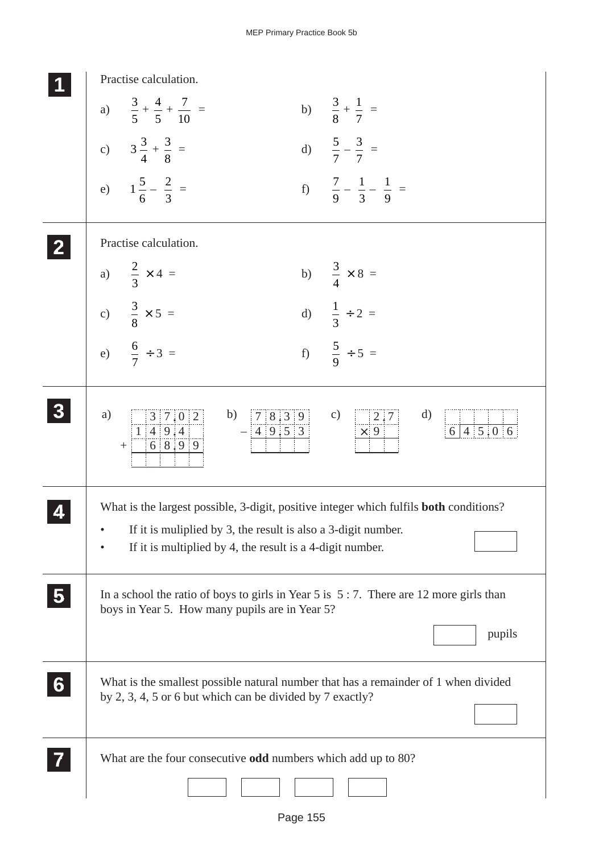|                | Practise calculation.                                                                                                                                                                                                          |
|----------------|--------------------------------------------------------------------------------------------------------------------------------------------------------------------------------------------------------------------------------|
|                | a) $\frac{3}{5} + \frac{4}{5} + \frac{7}{10} =$<br>b) $\frac{3}{8} + \frac{1}{7} =$                                                                                                                                            |
|                | c) $3\frac{3}{4} + \frac{3}{8} =$<br>d) $\frac{5}{7} - \frac{3}{7} =$                                                                                                                                                          |
|                | e) $1\frac{5}{6} - \frac{2}{3} =$<br>f) $\frac{7}{9} - \frac{1}{3} - \frac{1}{9} =$                                                                                                                                            |
|                | Practise calculation.                                                                                                                                                                                                          |
|                | b) $\frac{3}{4} \times 8 =$                                                                                                                                                                                                    |
|                | a) $\frac{2}{3} \times 4 =$<br>c) $\frac{3}{8} \times 5 =$<br>e) $\frac{6}{7} \div 3 =$<br>d) $\frac{1}{3} \div 2 =$                                                                                                           |
|                | f) $\frac{5}{9} \div 5 =$                                                                                                                                                                                                      |
|                | $\begin{array}{ c c c c }\n\hline\n3 & 7 & 0 & 2 \\ \hline\n1 & 4 & 9 & 4 \\ \hline\n\end{array}$<br>b) $78.39$<br>c)<br>a)<br>d)<br>$\begin{array}{c} 2.7 \\ \times 9 \end{array}$<br>6 45.06<br>$-\boxed{4}9.53$<br>$+ 6899$ |
|                | What is the largest possible, 3-digit, positive integer which fulfils <b>both</b> conditions?                                                                                                                                  |
|                | If it is muliplied by 3, the result is also a 3-digit number.<br>If it is multiplied by 4, the result is a 4-digit number.                                                                                                     |
| 5 <sub>1</sub> | In a school the ratio of boys to girls in Year 5 is $5:7$ . There are 12 more girls than<br>boys in Year 5. How many pupils are in Year 5?                                                                                     |
|                | pupils                                                                                                                                                                                                                         |
| 6 <sup>1</sup> | What is the smallest possible natural number that has a remainder of 1 when divided<br>by 2, 3, 4, 5 or 6 but which can be divided by 7 exactly?                                                                               |
|                | What are the four consecutive odd numbers which add up to 80?                                                                                                                                                                  |
|                |                                                                                                                                                                                                                                |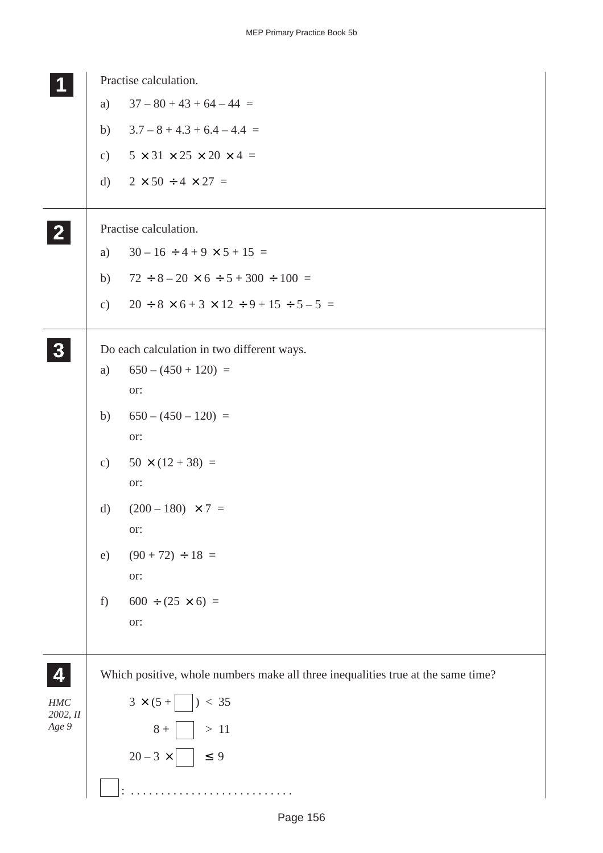|                 |               | Practise calculation.                                                            |
|-----------------|---------------|----------------------------------------------------------------------------------|
|                 | a)            | $37 - 80 + 43 + 64 - 44 =$                                                       |
|                 | b)            | $3.7 - 8 + 4.3 + 6.4 - 4.4 =$                                                    |
|                 | $\mathbf{c})$ | $5 \times 31 \times 25 \times 20 \times 4 =$                                     |
|                 | d)            | $2 \times 50 \div 4 \times 27 =$                                                 |
| $\mathbf{2}$    |               | Practise calculation.                                                            |
|                 | a)            | $30 - 16 \div 4 + 9 \times 5 + 15 =$                                             |
|                 | b)            | $72 \div 8 - 20 \times 6 \div 5 + 300 \div 100 =$                                |
|                 | $\mathbf{c})$ | $20 \div 8 \times 6 + 3 \times 12 \div 9 + 15 \div 5 - 5 =$                      |
| 3               |               | Do each calculation in two different ways.                                       |
|                 | a)            | $650 - (450 + 120) =$                                                            |
|                 |               | or:                                                                              |
|                 | b)            | $650 - (450 - 120) =$                                                            |
|                 |               | or:                                                                              |
|                 | $\mathbf{c})$ | $50 \times (12 + 38) =$<br>or:                                                   |
|                 | d)            | $(200 - 180) \times 7 =$                                                         |
|                 |               | or:                                                                              |
|                 | e)            | $(90 + 72) \div 18 =$                                                            |
|                 |               | or:                                                                              |
|                 | $f$ )         | $600 \div (25 \times 6) =$                                                       |
|                 |               | or:                                                                              |
|                 |               |                                                                                  |
| 4               |               | Which positive, whole numbers make all three inequalities true at the same time? |
| HMC<br>2002, II |               | $3 \times (5 + \vert \ \vert) < 35$                                              |
| Age 9           |               | $8 +$   > 11                                                                     |
|                 |               | $20-3 \times$   $\leq 9$                                                         |
|                 |               |                                                                                  |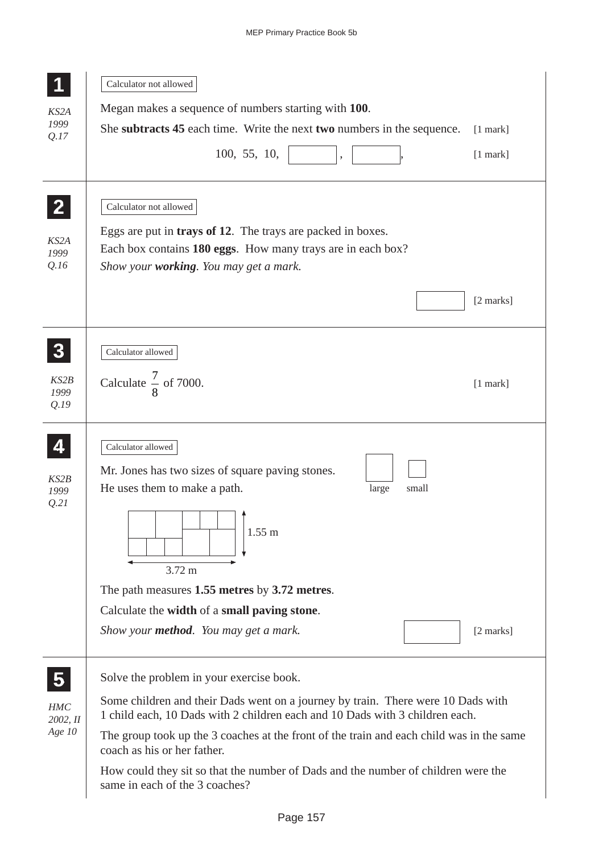|                                      | Calculator not allowed                                                                                                                                                                                         |
|--------------------------------------|----------------------------------------------------------------------------------------------------------------------------------------------------------------------------------------------------------------|
| KS2A                                 | Megan makes a sequence of numbers starting with 100.                                                                                                                                                           |
| 1999<br>Q.17                         | She subtracts 45 each time. Write the next two numbers in the sequence.<br>$[1$ mark]                                                                                                                          |
|                                      | 100, 55, 10,<br>$[1$ mark]<br>$\overline{\phantom{a}}$                                                                                                                                                         |
| $\mathbf{Z}$<br>KS2A<br>1999<br>Q.16 | Calculator not allowed<br>Eggs are put in <b>trays of 12</b> . The trays are packed in boxes.<br>Each box contains 180 eggs. How many trays are in each box?<br>Show your <b>working</b> . You may get a mark. |
|                                      | [2 marks]                                                                                                                                                                                                      |
|                                      | Calculator allowed                                                                                                                                                                                             |
| KS2B<br>1999<br>Q.19                 | Calculate $\frac{7}{8}$ of 7000.<br>$[1$ mark]                                                                                                                                                                 |
|                                      | Calculator allowed                                                                                                                                                                                             |
| KS2B<br>1999                         | Mr. Jones has two sizes of square paving stones.<br>He uses them to make a path.<br>large<br>small                                                                                                             |
| Q.21                                 | $1.55 \text{ m}$<br>$3.72 \text{ m}$                                                                                                                                                                           |
|                                      | The path measures 1.55 metres by 3.72 metres.                                                                                                                                                                  |
|                                      | Calculate the width of a small paving stone.                                                                                                                                                                   |
|                                      | Show your <b>method</b> . You may get a mark.<br>[2 marks]                                                                                                                                                     |
| $\overline{\mathbf{5}}$              | Solve the problem in your exercise book.                                                                                                                                                                       |
| HMC<br>2002, II                      | Some children and their Dads went on a journey by train. There were 10 Dads with<br>1 child each, 10 Dads with 2 children each and 10 Dads with 3 children each.                                               |
| Age 10                               | The group took up the 3 coaches at the front of the train and each child was in the same<br>coach as his or her father.                                                                                        |
|                                      | How could they sit so that the number of Dads and the number of children were the<br>same in each of the 3 coaches?                                                                                            |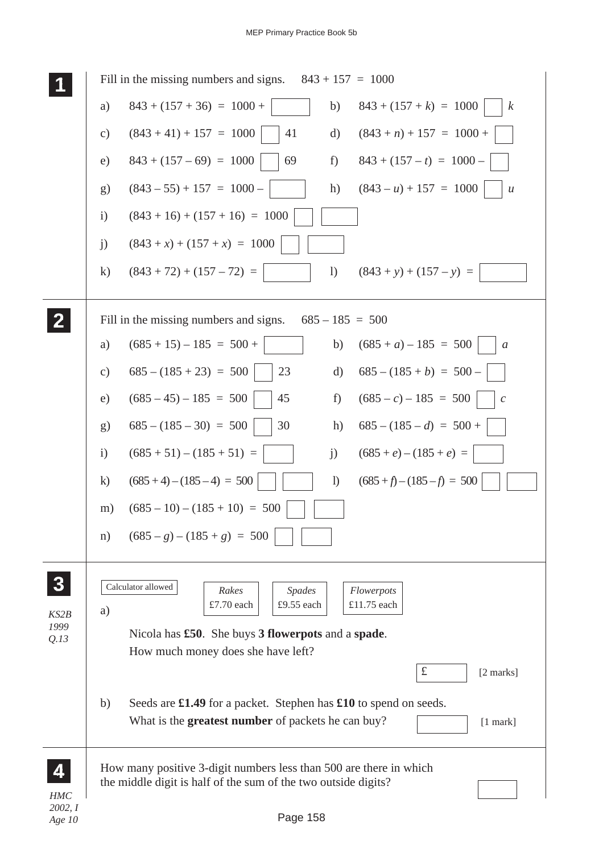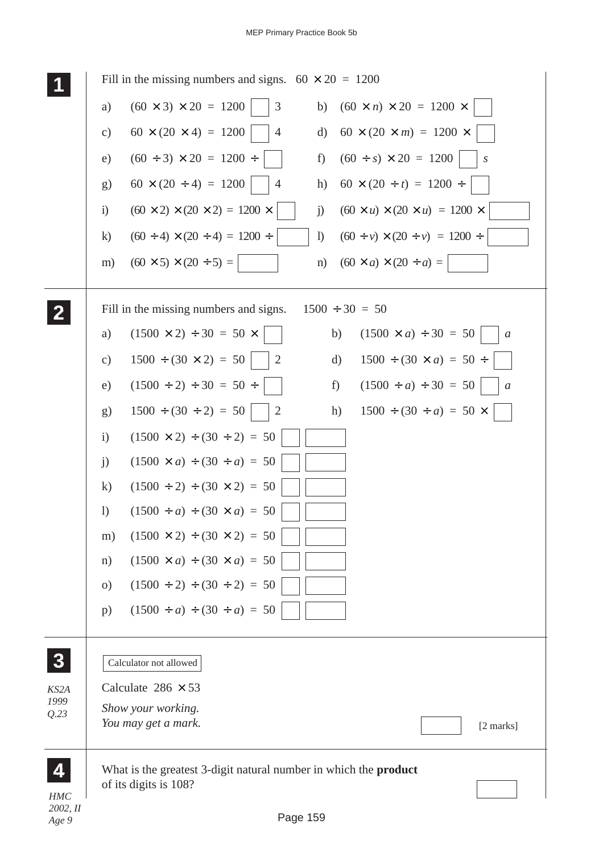| Fill in the missing numbers and signs. $60 \times 20 = 1200$                                                                 |
|------------------------------------------------------------------------------------------------------------------------------|
| $(60 \times 3) \times 20 = 1200$<br>$(60 \times n) \times 20 = 1200 \times$<br>3<br>a)<br>b)                                 |
| $60 \times (20 \times 4) = 1200$<br>$60 \times (20 \times m) = 1200 \times$<br>$\overline{4}$<br>d)<br>$\mathbf{c})$         |
| $(60 \div s) \times 20 = 1200$<br>$(60 \div 3) \times 20 = 1200 \div$<br>f)<br>e)<br>$\boldsymbol{S}$                        |
| $60 \times (20 \div 4) = 1200$<br>$60 \times (20 \div t) = 1200 \div$<br>$\overline{4}$<br>h)<br>g)                          |
| $(60 \times 2) \times (20 \times 2) = 1200 \times$<br>$(60 \times u) \times (20 \times u) = 1200 \times$<br>$\ddot{1}$<br>j) |
| $(60 \div 4) \times (20 \div 4) = 1200 \div$<br>$\mathbf{I}$<br>$\bf k)$<br>$(60 \div v) \times (20 \div v) = 1200 \div$     |
| $(60 \times 5) \times (20 \div 5) =$<br>$(60 \times a) \times (20 \div a) =$<br>m)<br>n)                                     |
| Fill in the missing numbers and signs.<br>$1500 \div 30 = 50$                                                                |
| $(1500 \times a) \div 30 = 50$<br>$(1500 \times 2) \div 30 = 50 \times$<br>a)<br>b)<br>$\mathfrak a$                         |
| $1500 \div (30 \times 2) = 50$<br>$1500 \div (30 \times a) = 50 \div$<br>$\overline{2}$<br>$\mathbf{c})$<br>d)               |
| $(1500 \div 2) \div 30 = 50 \div$<br>f<br>$(1500 \div a) \div 30 = 50$<br>e)<br>$\mathfrak a$                                |
| $1500 \div (30 \div 2) = 50$<br>2<br>h)<br>$1500 \div (30 \div a) = 50 \times$<br>g)                                         |
| $(1500 \times 2) \div (30 \div 2) = 50$<br>$\mathbf{i}$                                                                      |
| $(1500 \times a) \div (30 \div a) = 50$<br>j)                                                                                |
| $(1500 \div 2) \div (30 \times 2) = 50$<br>$\bf k)$                                                                          |
| $(1500 \div a) \div (30 \times a) = 50$<br>$\left( \frac{1}{2} \right)$                                                      |
| $(1500 \times 2) \div (30 \times 2) = 50$<br>m)                                                                              |
| $(1500 \times a) \div (30 \times a) = 50$<br>n)                                                                              |
| $(1500 \div 2) \div (30 \div 2) = 50$<br>$\Omega$                                                                            |
| $(1500 \div a) \div (30 \div a) = 50$<br>p)                                                                                  |
| Calculator not allowed                                                                                                       |
| Calculate $286 \times 53$                                                                                                    |
| Show your working.<br>You may get a mark.<br>[2 marks]                                                                       |
|                                                                                                                              |
| What is the greatest 3-digit natural number in which the <b>product</b><br>of its digits is 108?                             |
|                                                                                                                              |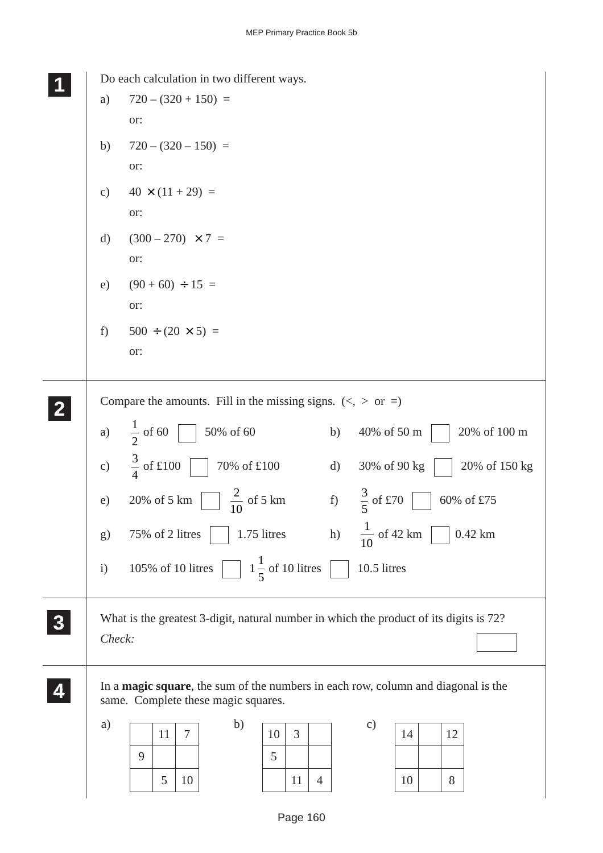|                  | Do each calculation in two different ways.                                                                                       |  |  |  |  |  |  |  |
|------------------|----------------------------------------------------------------------------------------------------------------------------------|--|--|--|--|--|--|--|
|                  | $720 - (320 + 150) =$<br>a)                                                                                                      |  |  |  |  |  |  |  |
|                  | or:                                                                                                                              |  |  |  |  |  |  |  |
|                  | $720 - (320 - 150) =$<br>b)                                                                                                      |  |  |  |  |  |  |  |
|                  | or:                                                                                                                              |  |  |  |  |  |  |  |
|                  | $40 \times (11 + 29) =$<br>$\mathbf{c})$                                                                                         |  |  |  |  |  |  |  |
|                  | or:                                                                                                                              |  |  |  |  |  |  |  |
|                  | $(300 - 270) \times 7 =$<br>$\mathrm{d}$                                                                                         |  |  |  |  |  |  |  |
|                  | or:                                                                                                                              |  |  |  |  |  |  |  |
|                  | $(90 + 60) \div 15 =$<br>e)                                                                                                      |  |  |  |  |  |  |  |
|                  | or:                                                                                                                              |  |  |  |  |  |  |  |
|                  | $500 \div (20 \times 5) =$<br>f)                                                                                                 |  |  |  |  |  |  |  |
|                  | or:                                                                                                                              |  |  |  |  |  |  |  |
|                  |                                                                                                                                  |  |  |  |  |  |  |  |
|                  | Compare the amounts. Fill in the missing signs. $(<, >$ or =)                                                                    |  |  |  |  |  |  |  |
|                  | $\frac{1}{2}$ of 60<br>$50\%$ of $60$<br>20% of 100 m<br>40% of 50 m<br>a)<br>b)                                                 |  |  |  |  |  |  |  |
|                  | $\frac{3}{4}$ of £100<br>$70\%$ of $\pounds100$<br>c)<br>d)<br>30% of 90 kg<br>20% of 150 kg                                     |  |  |  |  |  |  |  |
|                  | $rac{2}{10}$ of 5 km<br>$\frac{3}{5}$ of £70<br>f<br>20% of 5 km<br>60% of £75<br>e)                                             |  |  |  |  |  |  |  |
|                  | $\frac{1}{10}$ of 42 km<br>$0.42$ km<br>h)<br>75% of 2 litres<br>1.75 litres<br>g)                                               |  |  |  |  |  |  |  |
|                  | $1\frac{1}{5}$ of 10 litres<br>10.5 litres<br>105% of 10 litres<br>$\mathbf{i}$                                                  |  |  |  |  |  |  |  |
| $\boldsymbol{3}$ | What is the greatest 3-digit, natural number in which the product of its digits is 72?<br>Check:                                 |  |  |  |  |  |  |  |
|                  | In a <b>magic square</b> , the sum of the numbers in each row, column and diagonal is the<br>same. Complete these magic squares. |  |  |  |  |  |  |  |
|                  | b)<br>a)<br>$\mathbf{c})$                                                                                                        |  |  |  |  |  |  |  |
|                  | $\tau$<br>3<br>11<br>12<br>10<br>14                                                                                              |  |  |  |  |  |  |  |
|                  | 9<br>5                                                                                                                           |  |  |  |  |  |  |  |
|                  | 5<br>8<br>10<br>11<br>$\overline{4}$<br>10                                                                                       |  |  |  |  |  |  |  |
|                  |                                                                                                                                  |  |  |  |  |  |  |  |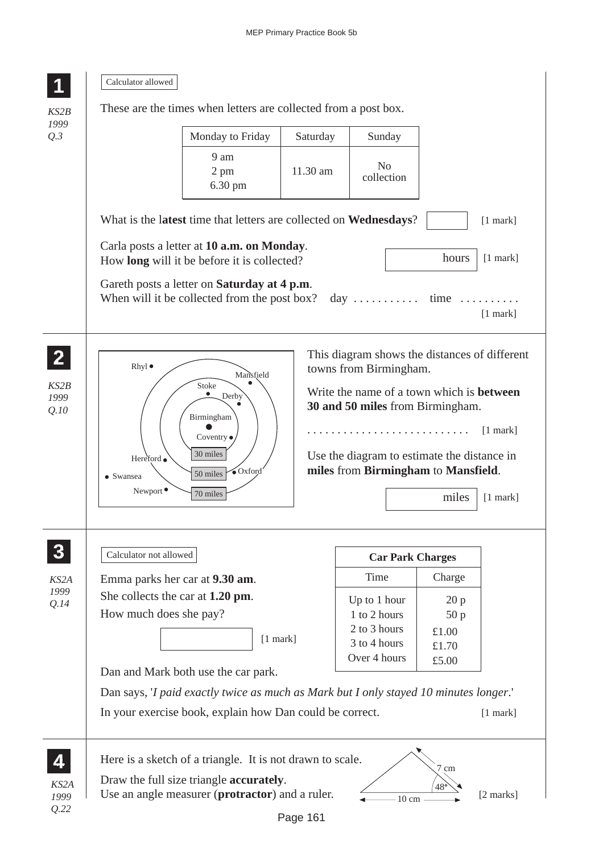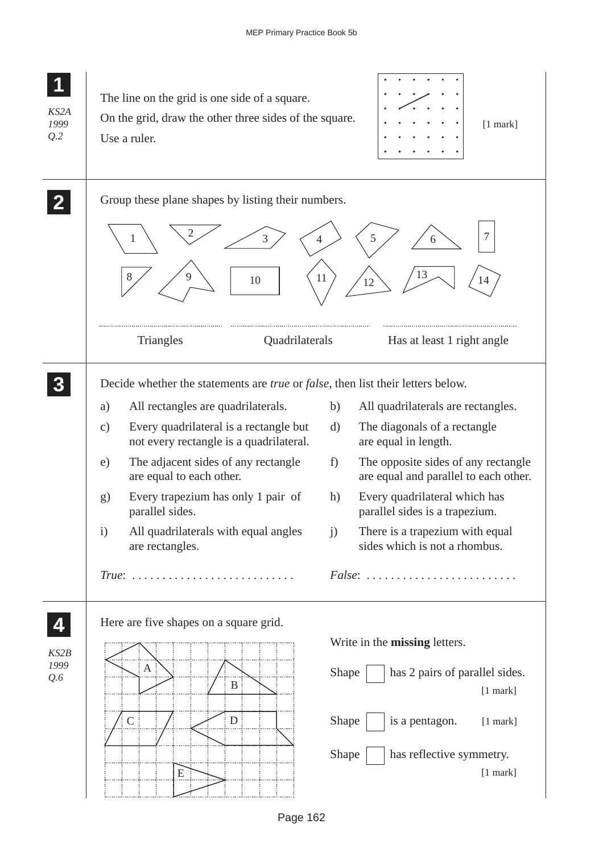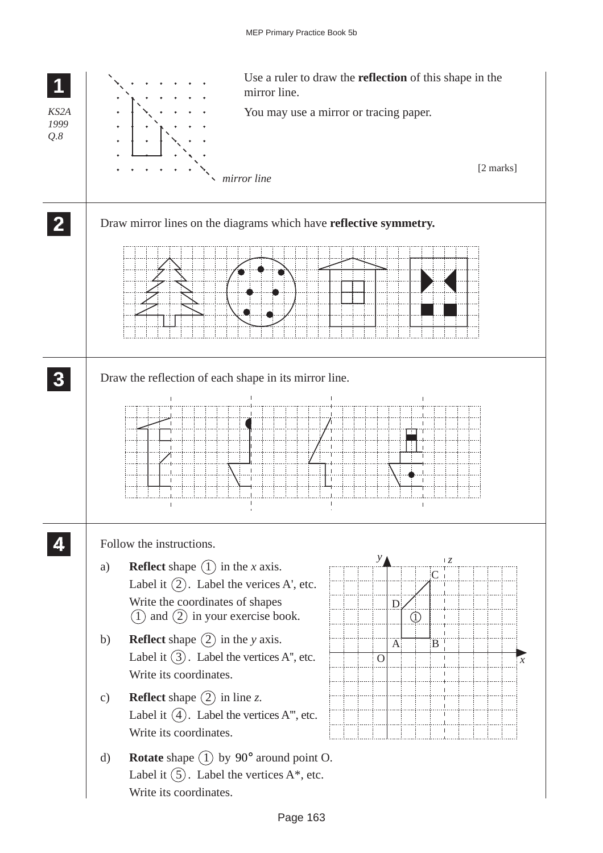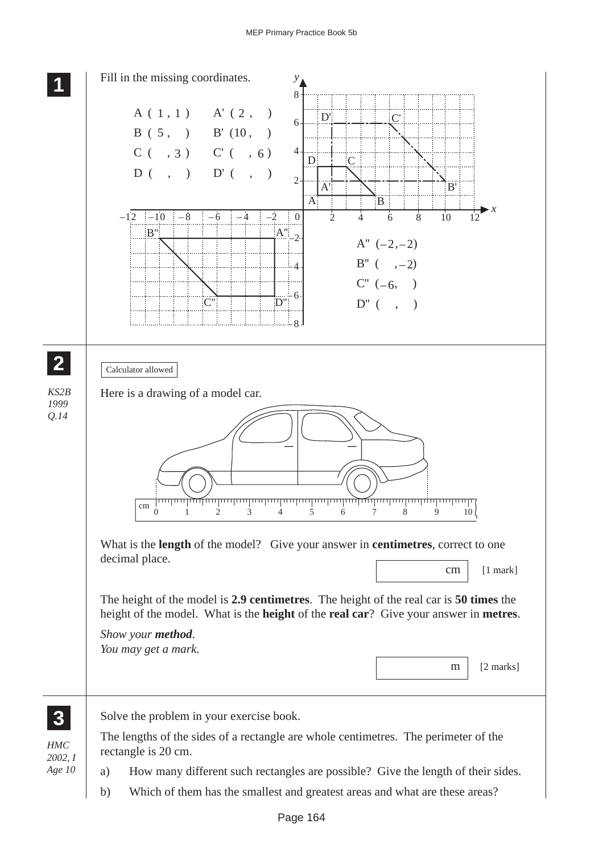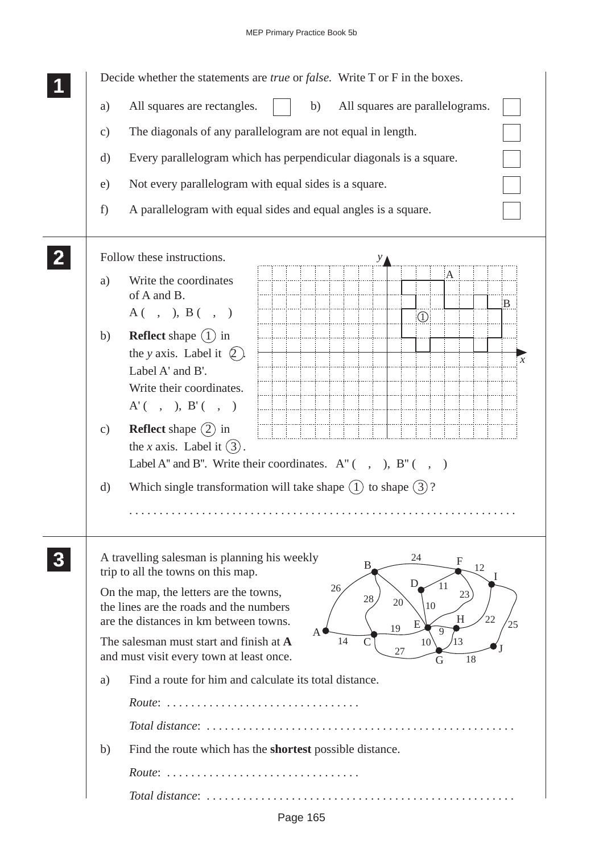|               | Decide whether the statements are <i>true</i> or <i>false</i> . Write T or F in the boxes.                                                                                                                 |
|---------------|------------------------------------------------------------------------------------------------------------------------------------------------------------------------------------------------------------|
| a)            | All squares are rectangles.<br>All squares are parallelograms.<br>b)                                                                                                                                       |
| $\mathbf{c})$ | The diagonals of any parallelogram are not equal in length.                                                                                                                                                |
| $\rm d)$      | Every parallelogram which has perpendicular diagonals is a square.                                                                                                                                         |
| e)            | Not every parallelogram with equal sides is a square.                                                                                                                                                      |
| f)            | A parallelogram with equal sides and equal angles is a square.                                                                                                                                             |
|               |                                                                                                                                                                                                            |
|               | Follow these instructions.                                                                                                                                                                                 |
| a)            | A<br>Write the coordinates<br>of A and B.<br>B                                                                                                                                                             |
|               | A( , ), B( , )<br>$\bigcirc$                                                                                                                                                                               |
| b)            | <b>Reflect</b> shape $(1)$ in                                                                                                                                                                              |
|               | the y axis. Label it $(2)$ .<br>x<br>Label A' and B'.                                                                                                                                                      |
|               | Write their coordinates.                                                                                                                                                                                   |
|               | $A'$ (, ), B'(, )                                                                                                                                                                                          |
| c)            | <b>Reflect</b> shape $(2)$ in                                                                                                                                                                              |
|               | the <i>x</i> axis. Label it $(3)$ .                                                                                                                                                                        |
|               | Label A" and B". Write their coordinates. $A''$ (, ), $B''$ (, )                                                                                                                                           |
| d)            | Which single transformation will take shape $(1)$ to shape $(3)$ ?                                                                                                                                         |
|               |                                                                                                                                                                                                            |
|               |                                                                                                                                                                                                            |
|               | A travelling salesman is planning his weekly<br>24<br>$\mathbf F$<br>B<br>12<br>trip to all the towns on this map.                                                                                         |
|               | D.<br>11<br>26<br>On the map, the letters are the towns,<br>23<br>$28\,$<br>20<br>the lines are the roads and the numbers<br>10<br>22<br>H<br>are the distances in km between towns.<br>25<br>Е<br>19<br>Q |
|               | A<br>The salesman must start and finish at A<br>14<br>13<br>10 <sup>7</sup><br>27<br>and must visit every town at least once.<br>18<br>G                                                                   |
| a)            | Find a route for him and calculate its total distance.                                                                                                                                                     |
|               | Route:                                                                                                                                                                                                     |
|               |                                                                                                                                                                                                            |
| b)            | Find the route which has the <b>shortest</b> possible distance.                                                                                                                                            |
|               | $\textit{Route}: \texttt{ } \texttt{ } \texttt{}$                                                                                                                                                          |
|               |                                                                                                                                                                                                            |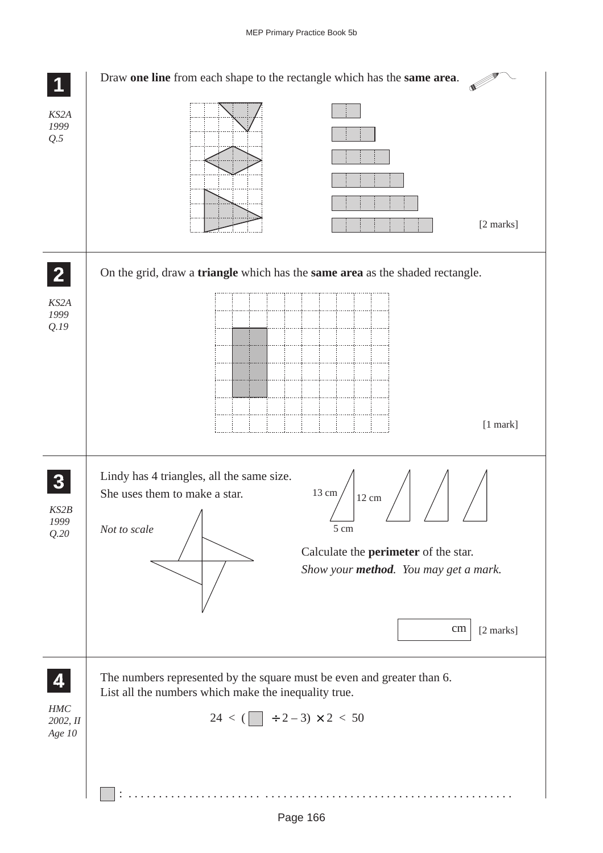|                                    | Draw one line from each shape to the rectangle which has the same area.                                                                                                                                                                          |
|------------------------------------|--------------------------------------------------------------------------------------------------------------------------------------------------------------------------------------------------------------------------------------------------|
| KS2A<br>1999<br>Q.5                | [2 marks]                                                                                                                                                                                                                                        |
| $\mathbf{2}$                       | On the grid, draw a <b>triangle</b> which has the <b>same area</b> as the shaded rectangle.                                                                                                                                                      |
| KS2A<br>1999<br>Q.19               | $[1$ mark]                                                                                                                                                                                                                                       |
| KS2B<br>1999<br>Q.20               | Lindy has 4 triangles, all the same size.<br>13 cm $/$<br>She uses them to make a star.<br>12 cm<br>$\Lambda$<br>5 cm<br>Not to scale<br>Calculate the <b>perimeter</b> of the star.<br>Show your method. You may get a mark.<br>cm<br>[2 marks] |
| 4<br>$HMC$<br>2002, II<br>Age $10$ | The numbers represented by the square must be even and greater than 6.<br>List all the numbers which make the inequality true.<br>$24 < (\Box + 2 - 3) \times 2 < 50$                                                                            |
|                                    | .                                                                                                                                                                                                                                                |

Page 166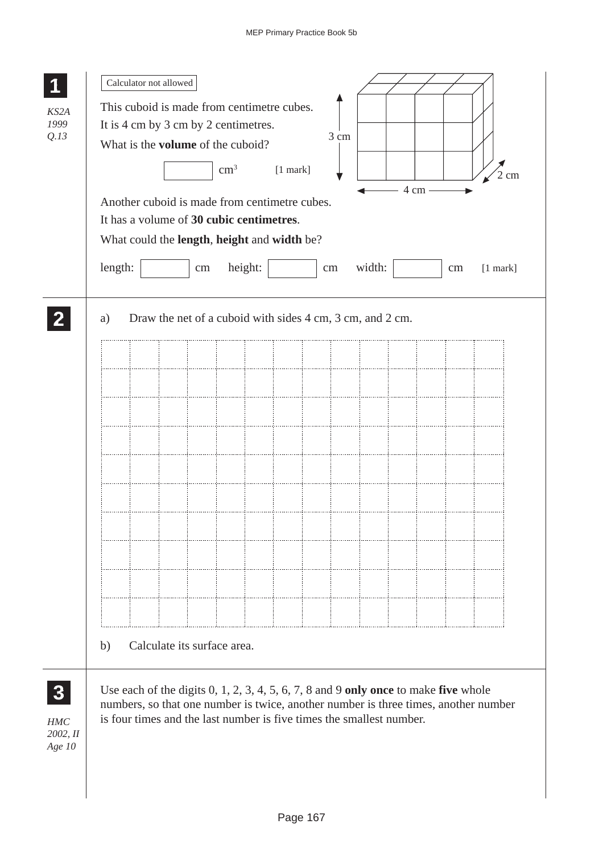| KS2A<br>1999<br>Q.13                          | Calculator not allowed<br>This cuboid is made from centimetre cubes.<br>It is 4 cm by 3 cm by 2 centimetres.<br>3 cm<br>What is the <b>volume</b> of the cuboid?<br>$\text{cm}^3$<br>$[1$ mark]<br>cm<br>4 cm -<br>Another cuboid is made from centimetre cubes.<br>It has a volume of 30 cubic centimetres.<br>What could the length, height and width be?<br>length:<br>height:<br>width:<br>$[1$ mark]<br>$\,\rm cm$<br>cm<br>$\rm cm$ |
|-----------------------------------------------|-------------------------------------------------------------------------------------------------------------------------------------------------------------------------------------------------------------------------------------------------------------------------------------------------------------------------------------------------------------------------------------------------------------------------------------------|
| $\boldsymbol{3}$<br>HMC<br>2002, II<br>Age 10 | Draw the net of a cuboid with sides 4 cm, 3 cm, and 2 cm.<br>a)<br>Calculate its surface area.<br>b)<br>Use each of the digits $0, 1, 2, 3, 4, 5, 6, 7, 8$ and $9$ only once to make five whole<br>numbers, so that one number is twice, another number is three times, another number<br>is four times and the last number is five times the smallest number.                                                                            |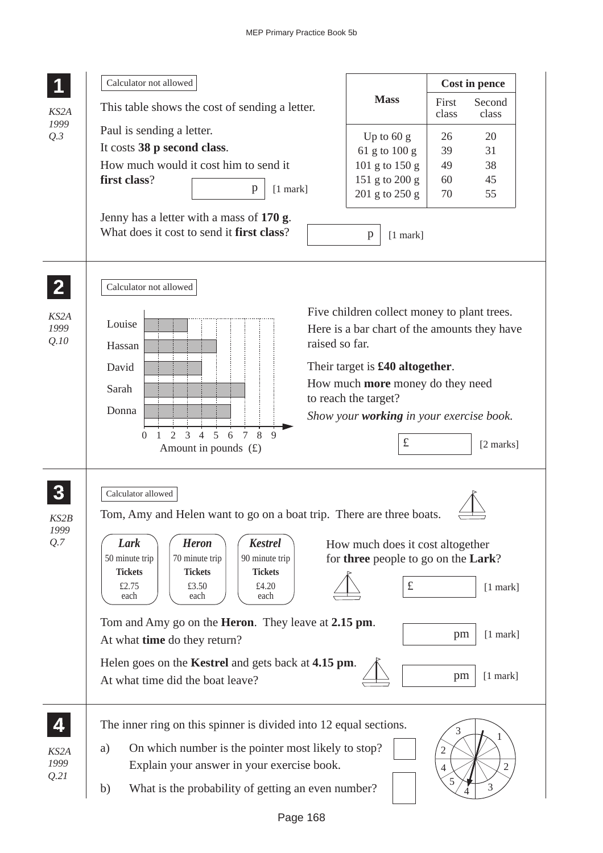|                      | Calculator not allowed                                                                                                                                                                                                                                                                                                                                                                                                                                                                               |                                                                                                                                                                                                                                                                     |                               | Cost in pence                          |
|----------------------|------------------------------------------------------------------------------------------------------------------------------------------------------------------------------------------------------------------------------------------------------------------------------------------------------------------------------------------------------------------------------------------------------------------------------------------------------------------------------------------------------|---------------------------------------------------------------------------------------------------------------------------------------------------------------------------------------------------------------------------------------------------------------------|-------------------------------|----------------------------------------|
| KS2A                 | This table shows the cost of sending a letter.                                                                                                                                                                                                                                                                                                                                                                                                                                                       | <b>Mass</b>                                                                                                                                                                                                                                                         | First<br>class                | Second<br>class                        |
| 1999<br>Q.3          | Paul is sending a letter.<br>It costs 38 p second class.<br>How much would it cost him to send it<br>first class?<br>$\mathbf{p}$<br>$[1$ mark]<br>Jenny has a letter with a mass of 170 g.<br>What does it cost to send it first class?                                                                                                                                                                                                                                                             | Up to $60 g$<br>61 g to 100 g<br>101 g to $150 g$<br>151 g to 200 g<br>201 g to 250 g<br>$[1$ mark]<br>p                                                                                                                                                            | 26<br>39<br>49<br>60<br>70    | 20<br>31<br>38<br>45<br>55             |
| KS2A<br>1999<br>Q.10 | Calculator not allowed<br>Louise<br>raised so far.<br>Hassan<br>David<br>Sarah<br>Donna<br>$\overline{5}$<br>8<br>$\mathfrak{D}$<br>3<br>$\overline{4}$<br>6<br>$\tau$<br>9<br>$\Omega$<br>1<br>Amount in pounds $(f)$                                                                                                                                                                                                                                                                               | Five children collect money to plant trees.<br>Here is a bar chart of the amounts they have<br>Their target is $£40$ altogether.<br>How much <b>more</b> money do they need<br>to reach the target?<br>Show your <b>working</b> in your exercise book.<br>$\pounds$ |                               | [2 marks]                              |
| KS2B<br>1999<br>Q.7  | Calculator allowed<br>Tom, Amy and Helen want to go on a boat trip. There are three boats.<br>Lark<br><b>Heron</b><br><b>Kestrel</b><br>70 minute trip<br>90 minute trip<br>50 minute trip<br><b>Tickets</b><br><b>Tickets</b><br><b>Tickets</b><br>£2.75<br>£3.50<br>£4.20<br>each<br>each<br>each<br>Tom and Amy go on the <b>Heron</b> . They leave at 2.15 pm.<br>At what <b>time</b> do they return?<br>Helen goes on the Kestrel and gets back at 4.15 pm.<br>At what time did the boat leave? | How much does it cost altogether<br>for three people to go on the Lark?<br>$\pounds$                                                                                                                                                                                | pm<br>pm                      | $[1$ mark]<br>$[1$ mark]<br>$[1$ mark] |
| KS2A<br>1999<br>Q.21 | The inner ring on this spinner is divided into 12 equal sections.<br>On which number is the pointer most likely to stop?<br>a)<br>Explain your answer in your exercise book.<br>What is the probability of getting an even number?<br>b)                                                                                                                                                                                                                                                             |                                                                                                                                                                                                                                                                     | 3<br>2<br>$\overline{4}$<br>5 | $\mathfrak{2}$<br>3                    |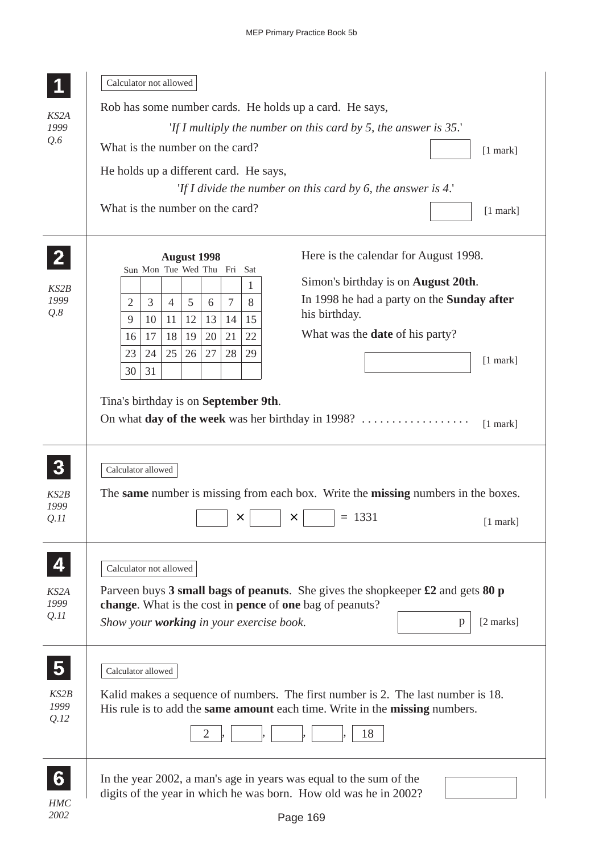|                      | Calculator not allowed                                                      |                                                                                                                  |  |  |  |  |  |
|----------------------|-----------------------------------------------------------------------------|------------------------------------------------------------------------------------------------------------------|--|--|--|--|--|
|                      | Rob has some number cards. He holds up a card. He says,                     |                                                                                                                  |  |  |  |  |  |
| KS2A<br>1999         |                                                                             | 'If I multiply the number on this card by 5, the answer is $35$ .'                                               |  |  |  |  |  |
| Q.6                  | What is the number on the card?                                             | $[1$ mark]                                                                                                       |  |  |  |  |  |
|                      | He holds up a different card. He says,                                      |                                                                                                                  |  |  |  |  |  |
|                      | 'If I divide the number on this card by 6, the answer is $4$ .'             |                                                                                                                  |  |  |  |  |  |
|                      | What is the number on the card?                                             | $[1$ mark]                                                                                                       |  |  |  |  |  |
|                      |                                                                             |                                                                                                                  |  |  |  |  |  |
|                      | <b>August 1998</b>                                                          | Here is the calendar for August 1998.                                                                            |  |  |  |  |  |
|                      | Sun Mon Tue Wed Thu Fri<br>Sat<br>1                                         | Simon's birthday is on <b>August 20th</b> .                                                                      |  |  |  |  |  |
| KS2B<br>1999         | 5<br>$\tau$<br>3<br>8<br>2<br>$\overline{4}$<br>6                           | In 1998 he had a party on the <b>Sunday after</b>                                                                |  |  |  |  |  |
| Q.8                  | 13<br>9<br>11<br>12<br>14<br>15<br>10                                       | his birthday.                                                                                                    |  |  |  |  |  |
|                      | 20<br>21<br>22<br>18<br>19<br>17<br>16                                      | What was the <b>date</b> of his party?                                                                           |  |  |  |  |  |
|                      | 26<br>27<br>28<br>29<br>23<br>24<br>25                                      | $[1$ mark]                                                                                                       |  |  |  |  |  |
|                      | 30<br>31                                                                    |                                                                                                                  |  |  |  |  |  |
| KS2B<br>1999<br>Q.II | ×                                                                           | The same number is missing from each box. Write the missing numbers in the boxes.<br>$= 1331$<br>×<br>$[1$ mark] |  |  |  |  |  |
|                      | Calculator not allowed                                                      |                                                                                                                  |  |  |  |  |  |
| KS2A<br>1999         | change. What is the cost in pence of one bag of peanuts?                    | Parveen buys 3 small bags of peanuts. She gives the shopkeeper $\pounds 2$ and gets 80 p                         |  |  |  |  |  |
| Q.II                 | Show your working in your exercise book.                                    | $[2 \text{ marks}]$<br>p                                                                                         |  |  |  |  |  |
|                      |                                                                             |                                                                                                                  |  |  |  |  |  |
|                      | Calculator allowed                                                          |                                                                                                                  |  |  |  |  |  |
| KS2B                 |                                                                             | Kalid makes a sequence of numbers. The first number is 2. The last number is 18.                                 |  |  |  |  |  |
| 1999                 | His rule is to add the same amount each time. Write in the missing numbers. |                                                                                                                  |  |  |  |  |  |
| Q.12                 |                                                                             |                                                                                                                  |  |  |  |  |  |
|                      | 2                                                                           | 18                                                                                                               |  |  |  |  |  |
|                      |                                                                             |                                                                                                                  |  |  |  |  |  |
|                      | In the year 2002, a man's age in years was equal to the sum of the          |                                                                                                                  |  |  |  |  |  |
| <b>HMC</b>           | digits of the year in which he was born. How old was he in 2002?            |                                                                                                                  |  |  |  |  |  |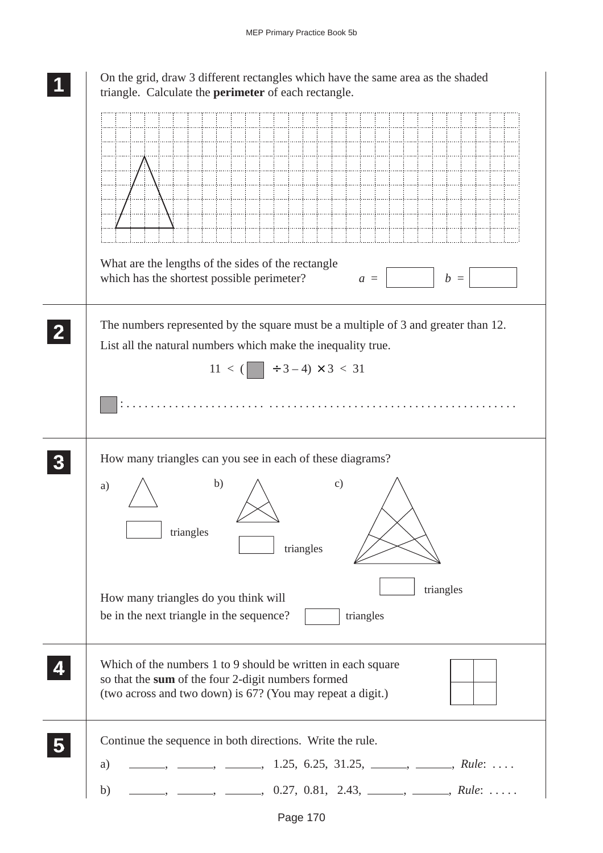| On the grid, draw 3 different rectangles which have the same area as the shaded<br>triangle. Calculate the perimeter of each rectangle.                                                                                                                                                                                                                                                                                                                                |
|------------------------------------------------------------------------------------------------------------------------------------------------------------------------------------------------------------------------------------------------------------------------------------------------------------------------------------------------------------------------------------------------------------------------------------------------------------------------|
|                                                                                                                                                                                                                                                                                                                                                                                                                                                                        |
| What are the lengths of the sides of the rectangle<br>which has the shortest possible perimeter?<br>$b =$<br>$a =$                                                                                                                                                                                                                                                                                                                                                     |
| The numbers represented by the square must be a multiple of 3 and greater than 12.<br>List all the natural numbers which make the inequality true.<br>$11 < ($ $\rightarrow 3 - 4) \times 3 < 31$                                                                                                                                                                                                                                                                      |
| How many triangles can you see in each of these diagrams?<br>b)<br>$\mathcal{C}$ )<br>a)<br>triangles<br>triangles                                                                                                                                                                                                                                                                                                                                                     |
| triangles<br>How many triangles do you think will<br>be in the next triangle in the sequence?<br>triangles                                                                                                                                                                                                                                                                                                                                                             |
| Which of the numbers 1 to 9 should be written in each square<br>so that the sum of the four 2-digit numbers formed<br>(two across and two down) is 67? (You may repeat a digit.)                                                                                                                                                                                                                                                                                       |
| Continue the sequence in both directions. Write the rule.<br>$\frac{1}{2}, \frac{1}{25}, \frac{1}{25}, \frac{6}{25}, \frac{31}{25}, \frac{1}{25}, \frac{1}{25}, \frac{1}{25}, \frac{1}{25}, \frac{1}{25}, \frac{1}{25}, \frac{1}{25}, \frac{1}{25}, \frac{1}{25}, \frac{1}{25}, \frac{1}{25}, \frac{1}{25}, \frac{1}{25}, \frac{1}{25}, \frac{1}{25}, \frac{1}{25}, \frac{1}{25}, \frac{1}{25}, \frac{1}{25}, \frac{1}{25}, \frac{1}{25}, \frac{1}{25}, \frac{1$<br>a) |
| $\rightarrow$ _______, ______, 0.27, 0.81, 2.43, _____, _____, Rule:<br>b)                                                                                                                                                                                                                                                                                                                                                                                             |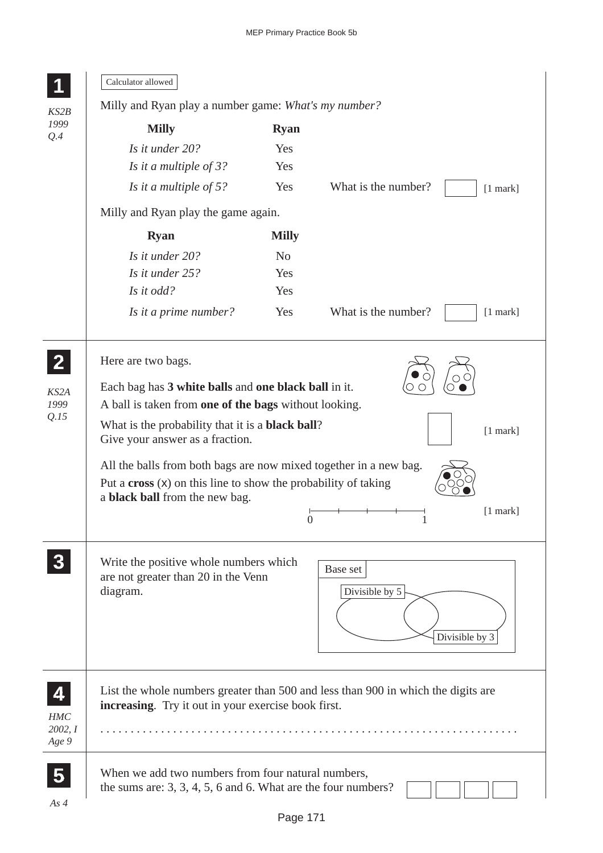|                                 | Calculator allowed                                                                                                                                                    |                  |                                                                                   |  |  |  |
|---------------------------------|-----------------------------------------------------------------------------------------------------------------------------------------------------------------------|------------------|-----------------------------------------------------------------------------------|--|--|--|
| KS2B<br>1999                    | Milly and Ryan play a number game: What's my number?                                                                                                                  |                  |                                                                                   |  |  |  |
|                                 | <b>Milly</b>                                                                                                                                                          | <b>Ryan</b>      |                                                                                   |  |  |  |
| Q.4                             | Is it under 20?                                                                                                                                                       | Yes              |                                                                                   |  |  |  |
|                                 | Is it a multiple of 3?                                                                                                                                                | Yes              |                                                                                   |  |  |  |
|                                 | Is it a multiple of $5$ ?                                                                                                                                             | Yes              | What is the number?<br>$[1$ mark]                                                 |  |  |  |
|                                 | Milly and Ryan play the game again.                                                                                                                                   |                  |                                                                                   |  |  |  |
|                                 | <b>Ryan</b>                                                                                                                                                           | <b>Milly</b>     |                                                                                   |  |  |  |
|                                 | Is it under 20?                                                                                                                                                       | N <sub>o</sub>   |                                                                                   |  |  |  |
|                                 | Is it under 25?                                                                                                                                                       | Yes              |                                                                                   |  |  |  |
|                                 | Is it odd?                                                                                                                                                            | Yes              |                                                                                   |  |  |  |
|                                 | Is it a prime number?                                                                                                                                                 | Yes              | What is the number?<br>$[1$ mark]                                                 |  |  |  |
| KS2A                            | Here are two bags.<br>Each bag has 3 white balls and one black ball in it.                                                                                            |                  |                                                                                   |  |  |  |
| 1999<br>Q.15                    | A ball is taken from one of the bags without looking.                                                                                                                 |                  |                                                                                   |  |  |  |
|                                 | What is the probability that it is a <b>black ball</b> ?<br>$[1$ mark]<br>Give your answer as a fraction.                                                             |                  |                                                                                   |  |  |  |
|                                 | All the balls from both bags are now mixed together in a new bag.<br>Put a $\csc(x)$ on this line to show the probability of taking<br>a black ball from the new bag. | $\boldsymbol{0}$ | $[1$ mark]                                                                        |  |  |  |
|                                 | Write the positive whole numbers which<br>are not greater than 20 in the Venn<br>diagram.                                                                             |                  | Base set<br>Divisible by 5<br>Divisible by 3                                      |  |  |  |
| 4<br>HMC<br>2002, I<br>Age 9    | increasing. Try it out in your exercise book first.                                                                                                                   |                  | List the whole numbers greater than 500 and less than 900 in which the digits are |  |  |  |
| $\overline{\mathbf{5}}$<br>As 4 | When we add two numbers from four natural numbers,<br>the sums are: $3, 3, 4, 5, 6$ and 6. What are the four numbers?                                                 |                  |                                                                                   |  |  |  |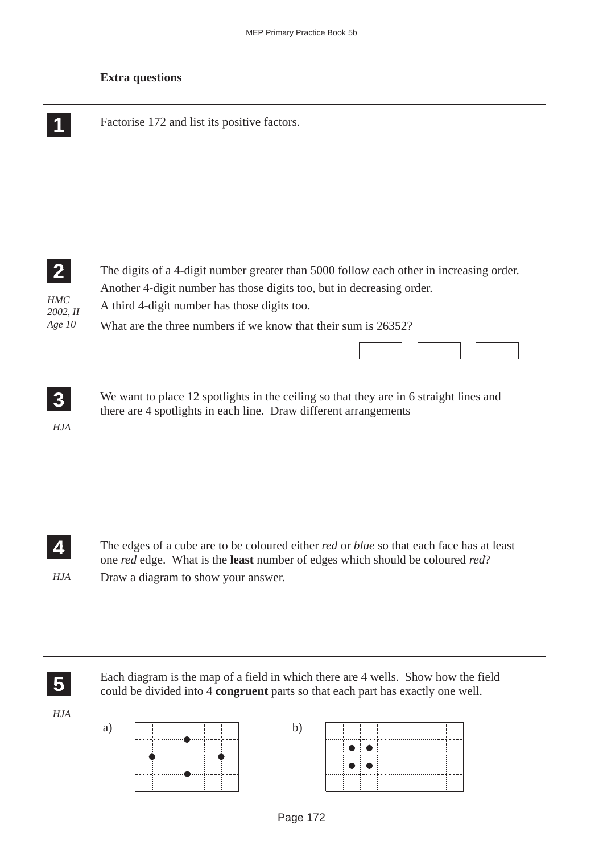|                                                    | <b>Extra questions</b>                                                                                                                                                                                                                                                             |
|----------------------------------------------------|------------------------------------------------------------------------------------------------------------------------------------------------------------------------------------------------------------------------------------------------------------------------------------|
|                                                    | Factorise 172 and list its positive factors.                                                                                                                                                                                                                                       |
| $\overline{2}$<br><b>HMC</b><br>2002, II<br>Age 10 | The digits of a 4-digit number greater than 5000 follow each other in increasing order.<br>Another 4-digit number has those digits too, but in decreasing order.<br>A third 4-digit number has those digits too.<br>What are the three numbers if we know that their sum is 26352? |
| HJA                                                | We want to place 12 spotlights in the ceiling so that they are in 6 straight lines and<br>there are 4 spotlights in each line. Draw different arrangements                                                                                                                         |
| HJA                                                | The edges of a cube are to be coloured either <i>red</i> or <i>blue</i> so that each face has at least<br>one red edge. What is the <b>least</b> number of edges which should be coloured red?<br>Draw a diagram to show your answer.                                              |
| $\overline{\mathbf{5}}$<br>HJA                     | Each diagram is the map of a field in which there are 4 wells. Show how the field<br>could be divided into 4 congruent parts so that each part has exactly one well.<br>b)<br>a)                                                                                                   |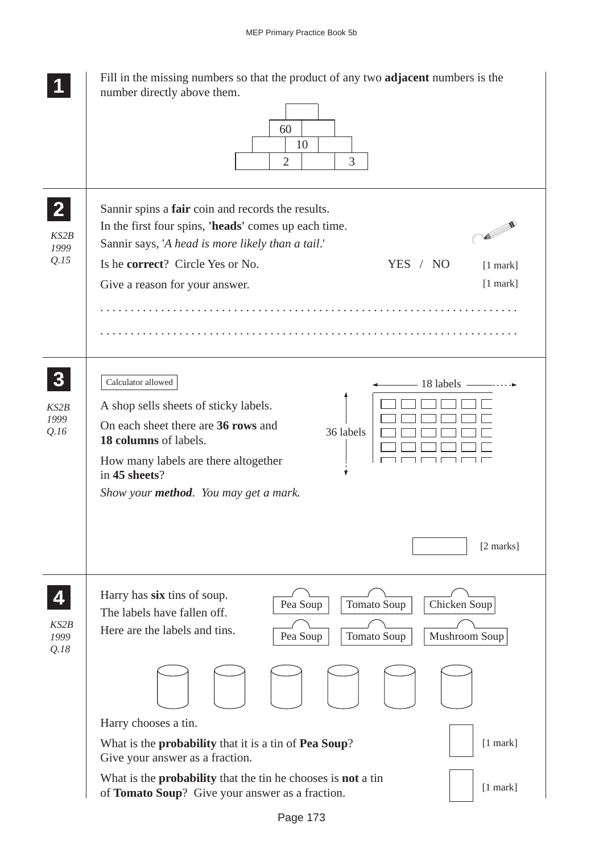|                                          | Fill in the missing numbers so that the product of any two <b>adjacent</b> numbers is the<br>number directly above them.<br>60<br>10<br>3<br>$\overline{2}$                                                                                                                                         |
|------------------------------------------|-----------------------------------------------------------------------------------------------------------------------------------------------------------------------------------------------------------------------------------------------------------------------------------------------------|
| KS2B<br>1999<br>Q.15                     | Sannir spins a fair coin and records the results.<br>In the first four spins, 'heads' comes up each time.<br><b>Particularly</b><br>Sannir says, 'A head is more likely than a tail.'<br>Is he correct? Circle Yes or No.<br>YES / NO<br>$[1$ mark]<br>$[1$ mark]<br>Give a reason for your answer. |
| $\boldsymbol{3}$<br>KS2B<br>1999<br>Q.16 | Calculator allowed<br>$-18$ labels $-$<br>A shop sells sheets of sticky labels.<br>On each sheet there are 36 rows and<br>36 labels<br>18 columns of labels.<br>How many labels are there altogether<br>in 45 sheets?<br>Show your <b>method</b> . You may get a mark.                              |
|                                          | [2 marks]                                                                                                                                                                                                                                                                                           |
| KS2B<br>1999<br>Q.18                     | Harry has six tins of soup.<br>Pea Soup<br>Tomato Soup<br>Chicken Soup<br>The labels have fallen off.<br>Here are the labels and tins.<br>Pea Soup<br>Tomato Soup<br>Mushroom Soup                                                                                                                  |
|                                          |                                                                                                                                                                                                                                                                                                     |
|                                          | Harry chooses a tin.<br>$[1$ mark]<br>What is the <b>probability</b> that it is a tin of <b>Pea Soup</b> ?                                                                                                                                                                                          |
|                                          | Give your answer as a fraction.<br>What is the <b>probability</b> that the tin he chooses is <b>not</b> a tin<br>$[1$ mark]<br>of Tomato Soup? Give your answer as a fraction.                                                                                                                      |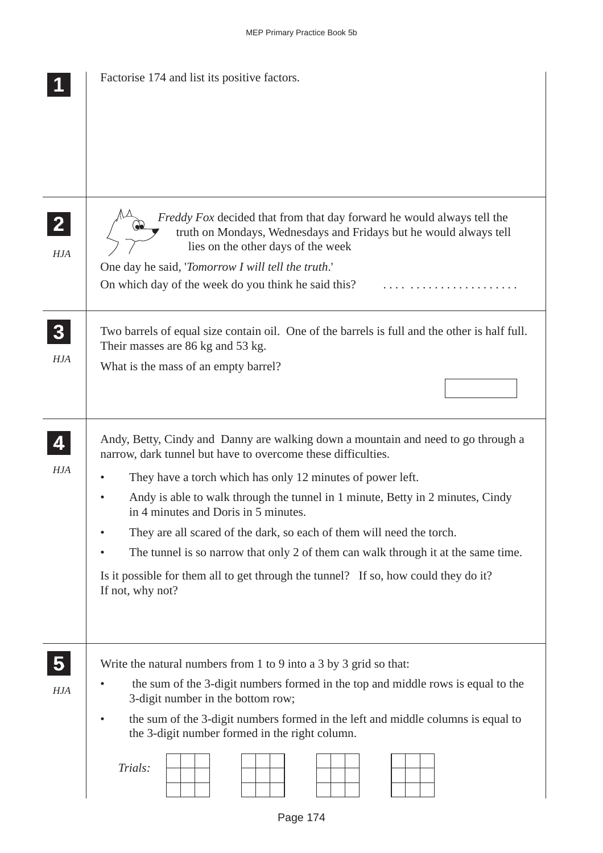|                            | Factorise 174 and list its positive factors.                                                                                                                                             |
|----------------------------|------------------------------------------------------------------------------------------------------------------------------------------------------------------------------------------|
|                            |                                                                                                                                                                                          |
|                            |                                                                                                                                                                                          |
| $\mathbf{2}$<br><b>HJA</b> | <i>Freddy Fox</i> decided that from that day forward he would always tell the<br>truth on Mondays, Wednesdays and Fridays but he would always tell<br>lies on the other days of the week |
|                            | One day he said, 'Tomorrow I will tell the truth.'                                                                                                                                       |
|                            | On which day of the week do you think he said this?                                                                                                                                      |
| 3 <sup>5</sup>             | Two barrels of equal size contain oil. One of the barrels is full and the other is half full.<br>Their masses are 86 kg and 53 kg.                                                       |
| <b>HJA</b>                 | What is the mass of an empty barrel?                                                                                                                                                     |
|                            |                                                                                                                                                                                          |
| 4                          | Andy, Betty, Cindy and Danny are walking down a mountain and need to go through a<br>narrow, dark tunnel but have to overcome these difficulties.                                        |
| <b>HJA</b>                 | They have a torch which has only 12 minutes of power left.                                                                                                                               |
|                            | Andy is able to walk through the tunnel in 1 minute, Betty in 2 minutes, Cindy<br>in 4 minutes and Doris in 5 minutes.                                                                   |
|                            | They are all scared of the dark, so each of them will need the torch.                                                                                                                    |
|                            | The tunnel is so narrow that only 2 of them can walk through it at the same time.                                                                                                        |
|                            | Is it possible for them all to get through the tunnel? If so, how could they do it?<br>If not, why not?                                                                                  |
|                            |                                                                                                                                                                                          |
| $\overline{\mathbf{5}}$    | Write the natural numbers from 1 to 9 into a 3 by 3 grid so that:                                                                                                                        |
| <b>HJA</b>                 | the sum of the 3-digit numbers formed in the top and middle rows is equal to the<br>3-digit number in the bottom row;                                                                    |
|                            | the sum of the 3-digit numbers formed in the left and middle columns is equal to                                                                                                         |
|                            | the 3-digit number formed in the right column.                                                                                                                                           |
|                            | Trials:                                                                                                                                                                                  |